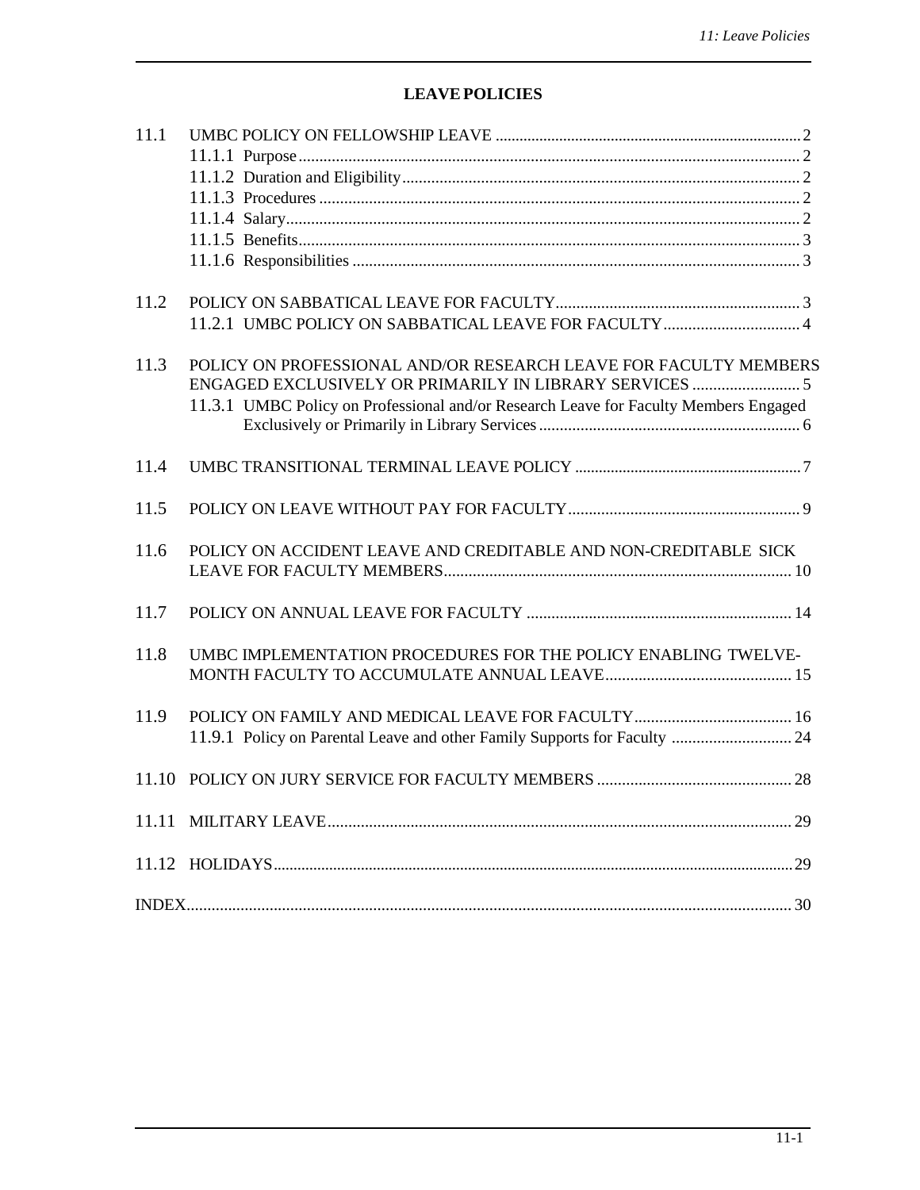# **LEAVEPOLICIES**

| 11.1 |                                                                                      |
|------|--------------------------------------------------------------------------------------|
|      |                                                                                      |
|      |                                                                                      |
|      |                                                                                      |
|      |                                                                                      |
|      |                                                                                      |
|      |                                                                                      |
| 11.2 |                                                                                      |
|      |                                                                                      |
|      |                                                                                      |
| 11.3 | POLICY ON PROFESSIONAL AND/OR RESEARCH LEAVE FOR FACULTY MEMBERS                     |
|      |                                                                                      |
|      | 11.3.1 UMBC Policy on Professional and/or Research Leave for Faculty Members Engaged |
|      |                                                                                      |
|      |                                                                                      |
| 11.4 |                                                                                      |
| 11.5 |                                                                                      |
|      |                                                                                      |
| 11.6 | POLICY ON ACCIDENT LEAVE AND CREDITABLE AND NON-CREDITABLE SICK                      |
|      |                                                                                      |
|      |                                                                                      |
| 11.7 |                                                                                      |
|      |                                                                                      |
| 11.8 | UMBC IMPLEMENTATION PROCEDURES FOR THE POLICY ENABLING TWELVE-                       |
|      |                                                                                      |
|      |                                                                                      |
| 11.9 |                                                                                      |
|      |                                                                                      |
|      |                                                                                      |
|      |                                                                                      |
|      |                                                                                      |
|      |                                                                                      |
|      |                                                                                      |
|      |                                                                                      |
|      |                                                                                      |
|      |                                                                                      |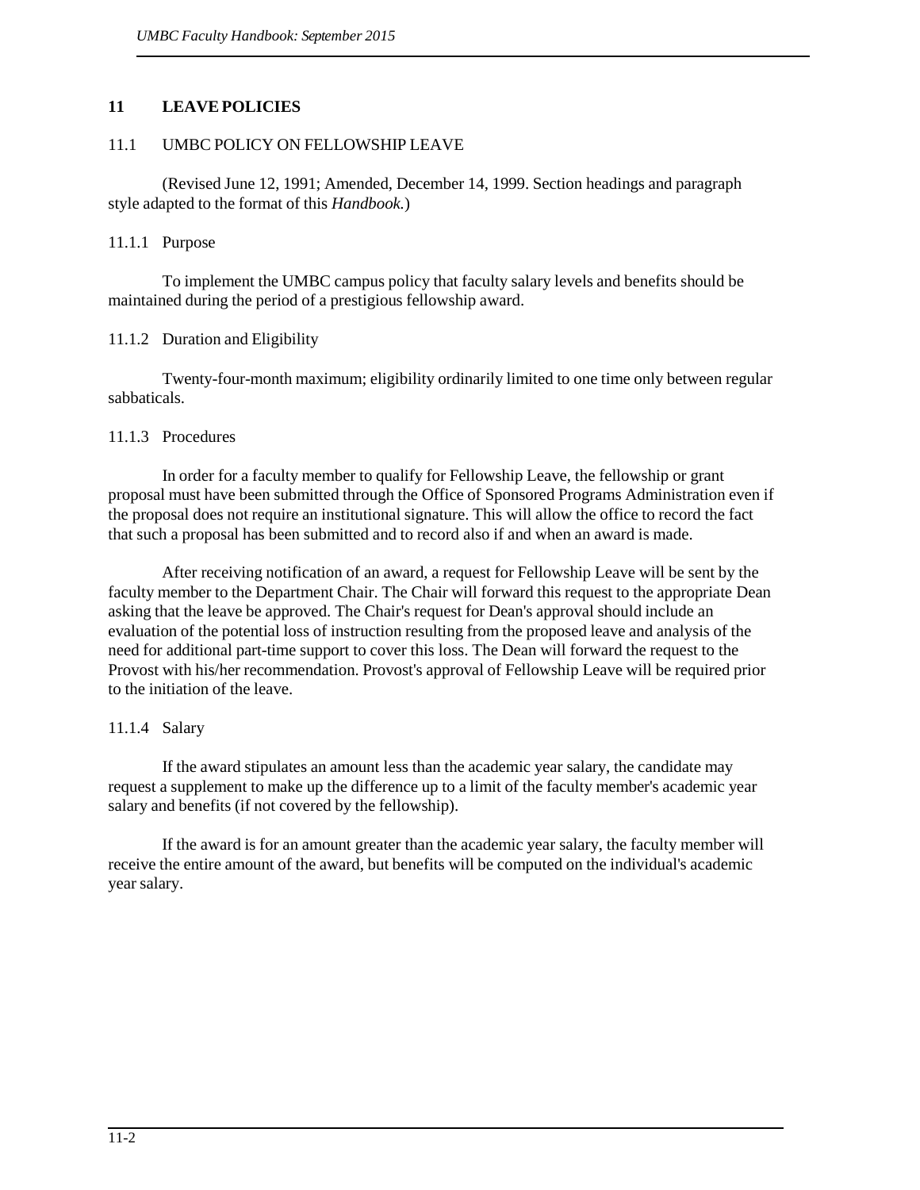# **11 LEAVEPOLICIES**

### 11.1 UMBC POLICY ON FELLOWSHIP LEAVE

(Revised June 12, 1991; Amended, December 14, 1999. Section headings and paragraph style adapted to the format of this *Handbook.*)

#### 11.1.1 Purpose

To implement the UMBC campus policy that faculty salary levels and benefits should be maintained during the period of a prestigious fellowship award.

## 11.1.2 Duration and Eligibility

Twenty-four-month maximum; eligibility ordinarily limited to one time only between regular sabbaticals.

#### 11.1.3 Procedures

In order for a faculty member to qualify for Fellowship Leave, the fellowship or grant proposal must have been submitted through the Office of Sponsored Programs Administration even if the proposal does not require an institutional signature. This will allow the office to record the fact that such a proposal has been submitted and to record also if and when an award is made.

After receiving notification of an award, a request for Fellowship Leave will be sent by the faculty member to the Department Chair. The Chair will forward this request to the appropriate Dean asking that the leave be approved. The Chair's request for Dean's approval should include an evaluation of the potential loss of instruction resulting from the proposed leave and analysis of the need for additional part-time support to cover this loss. The Dean will forward the request to the Provost with his/her recommendation. Provost's approval of Fellowship Leave will be required prior to the initiation of the leave.

# 11.1.4 Salary

If the award stipulates an amount less than the academic year salary, the candidate may request a supplement to make up the difference up to a limit of the faculty member's academic year salary and benefits (if not covered by the fellowship).

If the award is for an amount greater than the academic year salary, the faculty member will receive the entire amount of the award, but benefits will be computed on the individual's academic year salary.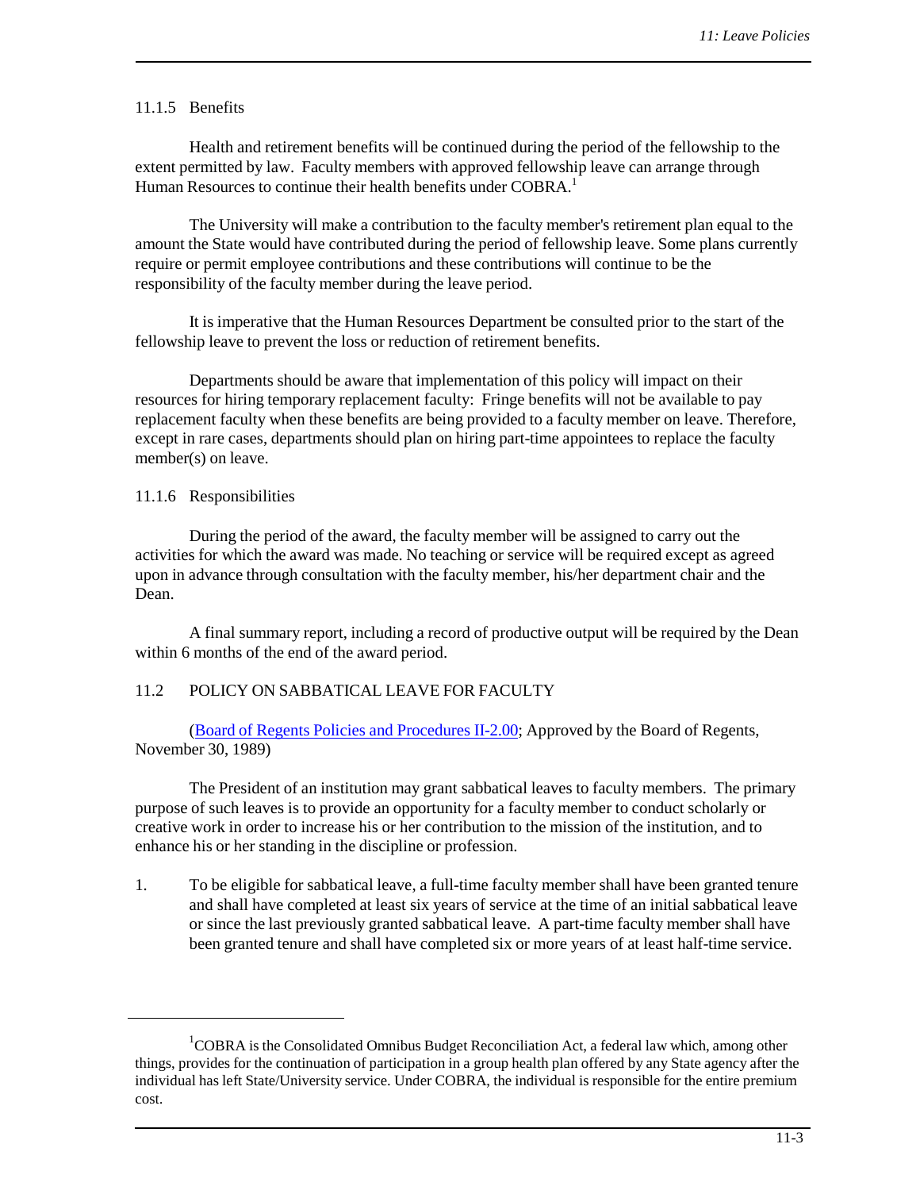#### 11.1.5 Benefits

Health and retirement benefits will be continued during the period of the fellowship to the extent permitted by law. Faculty members with approved fellowship leave can arrange through Human Resources to continue their health benefits under COBRA.<sup>1</sup>

The University will make a contribution to the faculty member's retirement plan equal to the amount the State would have contributed during the period of fellowship leave. Some plans currently require or permit employee contributions and these contributions will continue to be the responsibility of the faculty member during the leave period.

It is imperative that the Human Resources Department be consulted prior to the start of the fellowship leave to prevent the loss or reduction of retirement benefits.

Departments should be aware that implementation of this policy will impact on their resources for hiring temporary replacement faculty: Fringe benefits will not be available to pay replacement faculty when these benefits are being provided to a faculty member on leave. Therefore, except in rare cases, departments should plan on hiring part-time appointees to replace the faculty member(s) on leave.

#### 11.1.6 Responsibilities

During the period of the award, the faculty member will be assigned to carry out the activities for which the award was made. No teaching or service will be required except as agreed upon in advance through consultation with the faculty member, his/her department chair and the Dean.

A final summary report, including a record of productive output will be required by the Dean within 6 months of the end of the award period.

#### 11.2 POLICY ON SABBATICAL LEAVE FOR FACULTY

(Board of Regents Policies and [Procedures](http://www.usmd.edu/regents/bylaws/SectionII/II200.pdf) II-2.00; Approved by the Board of Regents, November 30, 1989)

The President of an institution may grant sabbatical leaves to faculty members. The primary purpose of such leaves is to provide an opportunity for a faculty member to conduct scholarly or creative work in order to increase his or her contribution to the mission of the institution, and to enhance his or her standing in the discipline or profession.

1. To be eligible for sabbatical leave, a full-time faculty member shall have been granted tenure and shall have completed at least six years of service at the time of an initial sabbatical leave or since the last previously granted sabbatical leave. A part-time faculty member shall have been granted tenure and shall have completed six or more years of at least half-time service.

<sup>&</sup>lt;sup>1</sup>COBRA is the Consolidated Omnibus Budget Reconciliation Act, a federal law which, among other things, provides for the continuation of participation in a group health plan offered by any State agency after the individual has left State/University service. Under COBRA, the individual is responsible for the entire premium cost.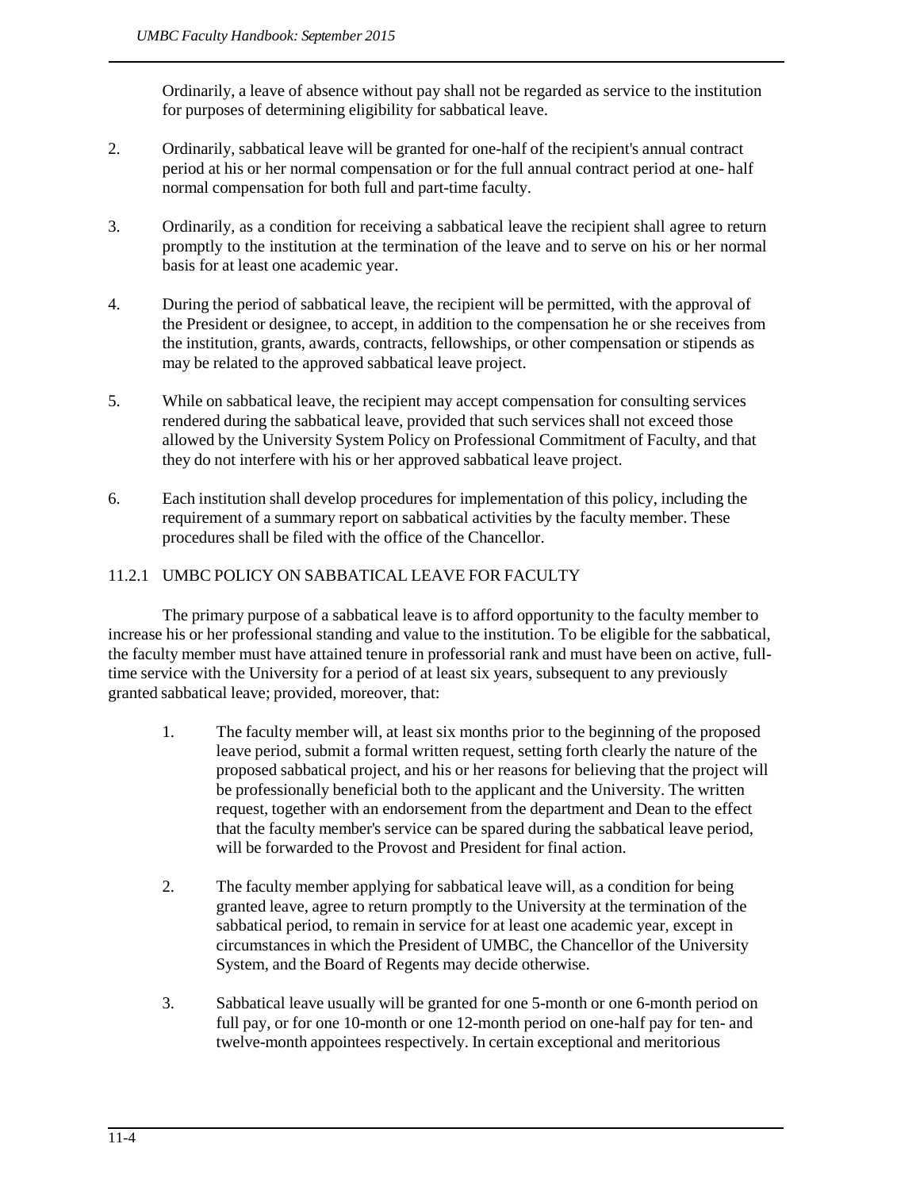Ordinarily, a leave of absence without pay shall not be regarded as service to the institution for purposes of determining eligibility for sabbatical leave.

- 2. Ordinarily, sabbatical leave will be granted for one-half of the recipient's annual contract period at his or her normal compensation or for the full annual contract period at one- half normal compensation for both full and part-time faculty.
- 3. Ordinarily, as a condition for receiving a sabbatical leave the recipient shall agree to return promptly to the institution at the termination of the leave and to serve on his or her normal basis for at least one academic year.
- 4. During the period of sabbatical leave, the recipient will be permitted, with the approval of the President or designee, to accept, in addition to the compensation he or she receives from the institution, grants, awards, contracts, fellowships, or other compensation or stipends as may be related to the approved sabbatical leave project.
- 5. While on sabbatical leave, the recipient may accept compensation for consulting services rendered during the sabbatical leave, provided that such services shall not exceed those allowed by the University System Policy on Professional Commitment of Faculty, and that they do not interfere with his or her approved sabbatical leave project.
- 6. Each institution shall develop procedures for implementation of this policy, including the requirement of a summary report on sabbatical activities by the faculty member. These procedures shall be filed with the office of the Chancellor.

# 11.2.1 UMBC POLICY ON SABBATICAL LEAVE FOR FACULTY

The primary purpose of a sabbatical leave is to afford opportunity to the faculty member to increase his or her professional standing and value to the institution. To be eligible for the sabbatical, the faculty member must have attained tenure in professorial rank and must have been on active, fulltime service with the University for a period of at least six years, subsequent to any previously granted sabbatical leave; provided, moreover, that:

- <span id="page-3-0"></span>1. The faculty member will, at least six months prior to the beginning of the proposed leave period, submit a formal written request, setting forth clearly the nature of the proposed sabbatical project, and his or her reasons for believing that the project will be professionally beneficial both to the applicant and the University. The written request, together with an endorsement from the department and Dean to the effect that the faculty member's service can be spared during the sabbatical leave period, will be forwarded to the Provost and President for final action.
- 2. The faculty member applying for sabbatical leave will, as a condition for being granted leave, agree to return promptly to the University at the termination of the sabbatical period, to remain in service for at least one academic year, except in circumstances in which the President of UMBC, the Chancellor of the University System, and the Board of Regents may decide otherwise.
- 3. Sabbatical leave usually will be granted for one 5-month or one 6-month period on full pay, or for one 10-month or one 12-month period on one-half pay for ten- and twelve-month appointees respectively. In certain exceptional and meritorious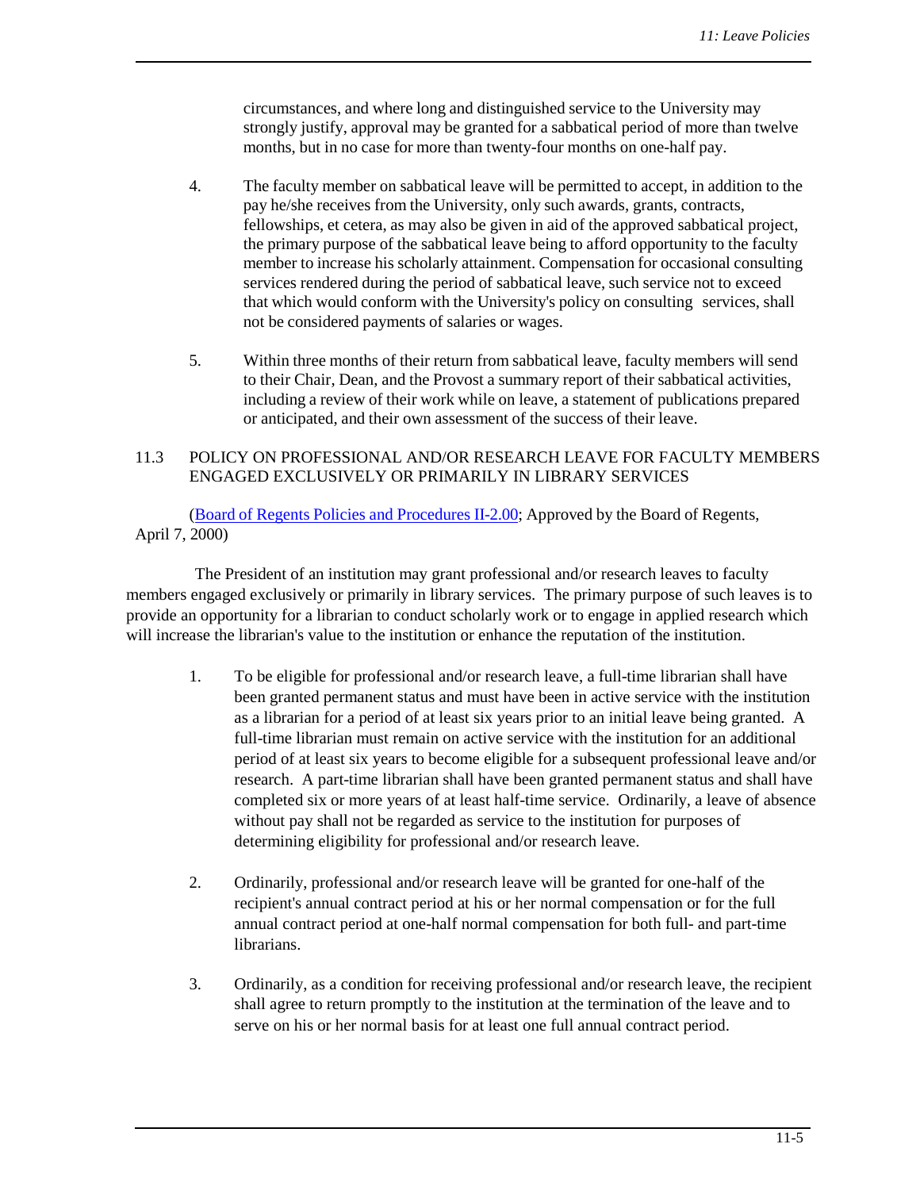circumstances, and where long and distinguished service to the University may strongly justify, approval may be granted for a sabbatical period of more than twelve months, but in no case for more than twenty-four months on one-half pay.

- 4. The faculty member on sabbatical leave will be permitted to accept, in addition to the pay he/she receives from the University, only such awards, grants, contracts, fellowships, et cetera, as may also be given in aid of the approved sabbatical project, the primary purpose of the sabbatical leave being to afford opportunity to the faculty member to increase his scholarly attainment. Compensation for occasional consulting services rendered during the period of sabbatical leave, such service not to exceed that which would conform with the University's policy on consulting services, shall not be considered payments of salaries or wages.
- <span id="page-4-1"></span><span id="page-4-0"></span>5. Within three months of their return from sabbatical leave, faculty members will send to their Chair, Dean, and the Provost a summary report of their sabbatical activities, including a review of their work while on leave, a statement of publications prepared or anticipated, and their own assessment of the success of their leave.

### 11.3 POLICY ON PROFESSIONAL AND/OR RESEARCH LEAVE FOR FACULTY MEMBERS ENGAGED EXCLUSIVELY OR PRIMARILY IN LIBRARY SERVICES

(Board of Regents Policies and [Procedures](http://www.usmd.edu/regents/bylaws/SectionII/II201.html) II-2.00; Approved by the Board of Regents, April 7, 2000)

The President of an institution may grant professional and/or research leaves to faculty members engaged exclusively or primarily in library services. The primary purpose of such leaves is to provide an opportunity for a librarian to conduct scholarly work or to engage in applied research which will increase the librarian's value to the institution or enhance the reputation of the institution.

- 1. To be eligible for professional and/or research leave, a full-time librarian shall have been granted permanent status and must have been in active service with the institution as a librarian for a period of at least six years prior to an initial leave being granted. A full-time librarian must remain on active service with the institution for an additional period of at least six years to become eligible for a subsequent professional leave and/or research. A part-time librarian shall have been granted permanent status and shall have completed six or more years of at least half-time service. Ordinarily, a leave of absence without pay shall not be regarded as service to the institution for purposes of determining eligibility for professional and/or research leave.
- 2. Ordinarily, professional and/or research leave will be granted for one-half of the recipient's annual contract period at his or her normal compensation or for the full annual contract period at one-half normal compensation for both full- and part-time librarians.
- 3. Ordinarily, as a condition for receiving professional and/or research leave, the recipient shall agree to return promptly to the institution at the termination of the leave and to serve on his or her normal basis for at least one full annual contract period.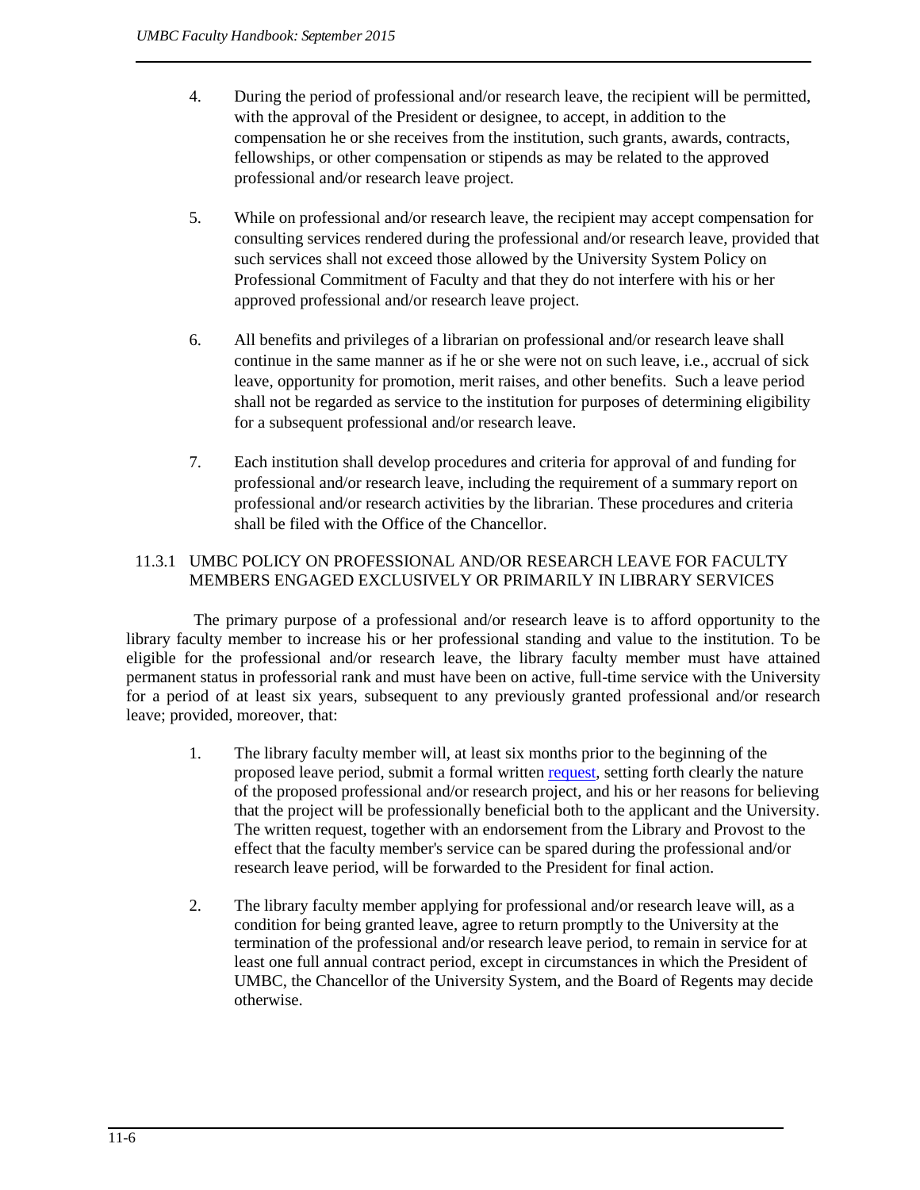- 4. During the period of professional and/or research leave, the recipient will be permitted, with the approval of the President or designee, to accept, in addition to the compensation he or she receives from the institution, such grants, awards, contracts, fellowships, or other compensation or stipends as may be related to the approved professional and/or research leave project.
- 5. While on professional and/or research leave, the recipient may accept compensation for consulting services rendered during the professional and/or research leave, provided that such services shall not exceed those allowed by the University System Policy on Professional Commitment of Faculty and that they do not interfere with his or her approved professional and/or research leave project.
- 6. All benefits and privileges of a librarian on professional and/or research leave shall continue in the same manner as if he or she were not on such leave, i.e., accrual of sick leave, opportunity for promotion, merit raises, and other benefits. Such a leave period shall not be regarded as service to the institution for purposes of determining eligibility for a subsequent professional and/or research leave.
- <span id="page-5-0"></span>7. Each institution shall develop procedures and criteria for approval of and funding for professional and/or research leave, including the requirement of a summary report on professional and/or research activities by the librarian. These procedures and criteria shall be filed with the Office of the Chancellor.

# 11.3.1 UMBC POLICY ON PROFESSIONAL AND/OR RESEARCH LEAVE FOR FACULTY MEMBERS ENGAGED EXCLUSIVELY OR PRIMARILY IN LIBRARY SERVICES

The primary purpose of a professional and/or research leave is to afford opportunity to the library faculty member to increase his or her professional standing and value to the institution. To be eligible for the professional and/or research leave, the library faculty member must have attained permanent status in professorial rank and must have been on active, full-time service with the University for a period of at least six years, subsequent to any previously granted professional and/or research leave; provided, moreover, that:

- 1. The library faculty member will, at least six months prior to the beginning of the proposed leave period, submit a formal written [request,](https://wiki.umbc.edu/download/attachments/11436414/UMBC%20POLICY%20ON%20PROFESSIONAL%20AND-OR%20RESEARCH%20LEAVE%20FOR%20FACULTY%20MEMBERS%20ENGAGED%20EXCLUSIVELY%20OR%20PRIMARILY%20IN%20LIBRARY%20SERVICES.doc?version=1&modificationDate=1449157951000&api=v2) setting forth clearly the nature of the proposed professional and/or research project, and his or her reasons for believing that the project will be professionally beneficial both to the applicant and the University. The written request, together with an endorsement from the Library and Provost to the effect that the faculty member's service can be spared during the professional and/or research leave period, will be forwarded to the President for final action.
- 2. The library faculty member applying for professional and/or research leave will, as a condition for being granted leave, agree to return promptly to the University at the termination of the professional and/or research leave period, to remain in service for at least one full annual contract period, except in circumstances in which the President of UMBC, the Chancellor of the University System, and the Board of Regents may decide otherwise.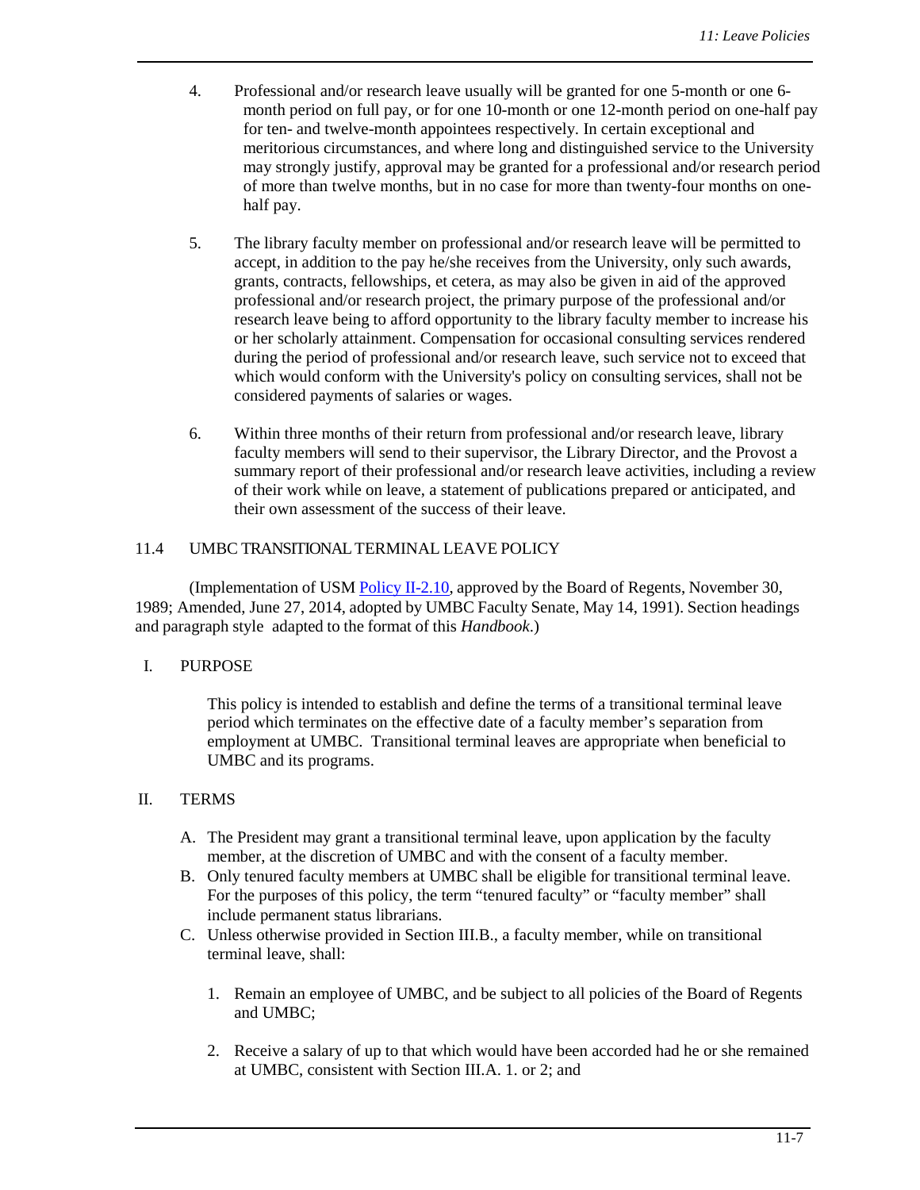- 4. Professional and/or research leave usually will be granted for one 5-month or one 6 month period on full pay, or for one 10-month or one 12-month period on one-half pay for ten- and twelve-month appointees respectively. In certain exceptional and meritorious circumstances, and where long and distinguished service to the University may strongly justify, approval may be granted for a professional and/or research period of more than twelve months, but in no case for more than twenty-four months on onehalf pay.
- 5. The library faculty member on professional and/or research leave will be permitted to accept, in addition to the pay he/she receives from the University, only such awards, grants, contracts, fellowships, et cetera, as may also be given in aid of the approved professional and/or research project, the primary purpose of the professional and/or research leave being to afford opportunity to the library faculty member to increase his or her scholarly attainment. Compensation for occasional consulting services rendered during the period of professional and/or research leave, such service not to exceed that which would conform with the University's policy on consulting services, shall not be considered payments of salaries or wages.
- 6. Within three months of their return from professional and/or research leave, library faculty members will send to their supervisor, the Library Director, and the Provost a summary report of their professional and/or research leave activities, including a review of their work while on leave, a statement of publications prepared or anticipated, and their own assessment of the success of their leave.

#### 11.4 UMBC TRANSITIONAL TERMINAL LEAVE POLICY

(Implementation of USM Policy [II-2.10,](http://www.usmd.edu/regents/bylaws/SectionII/II_210.pdf) approved by the Board of Regents, November 30, 1989; Amended, June 27, 2014, adopted by UMBC Faculty Senate, May 14, 1991). Section headings and paragraph style adapted to the format of this *Handbook*.)

#### I. PURPOSE

<span id="page-6-0"></span>This policy is intended to establish and define the terms of a transitional terminal leave period which terminates on the effective date of a faculty member's separation from employment at UMBC. Transitional terminal leaves are appropriate when beneficial to UMBC and its programs.

#### II. TERMS

- A. The President may grant a transitional terminal leave, upon application by the faculty member, at the discretion of UMBC and with the consent of a faculty member.
- B. Only tenured faculty members at UMBC shall be eligible for transitional terminal leave. For the purposes of this policy, the term "tenured faculty" or "faculty member" shall include permanent status librarians.
- C. Unless otherwise provided in Section III.B., a faculty member, while on transitional terminal leave, shall:
	- 1. Remain an employee of UMBC, and be subject to all policies of the Board of Regents and UMBC;
	- 2. Receive a salary of up to that which would have been accorded had he or she remained at UMBC, consistent with Section III.A. 1. or 2; and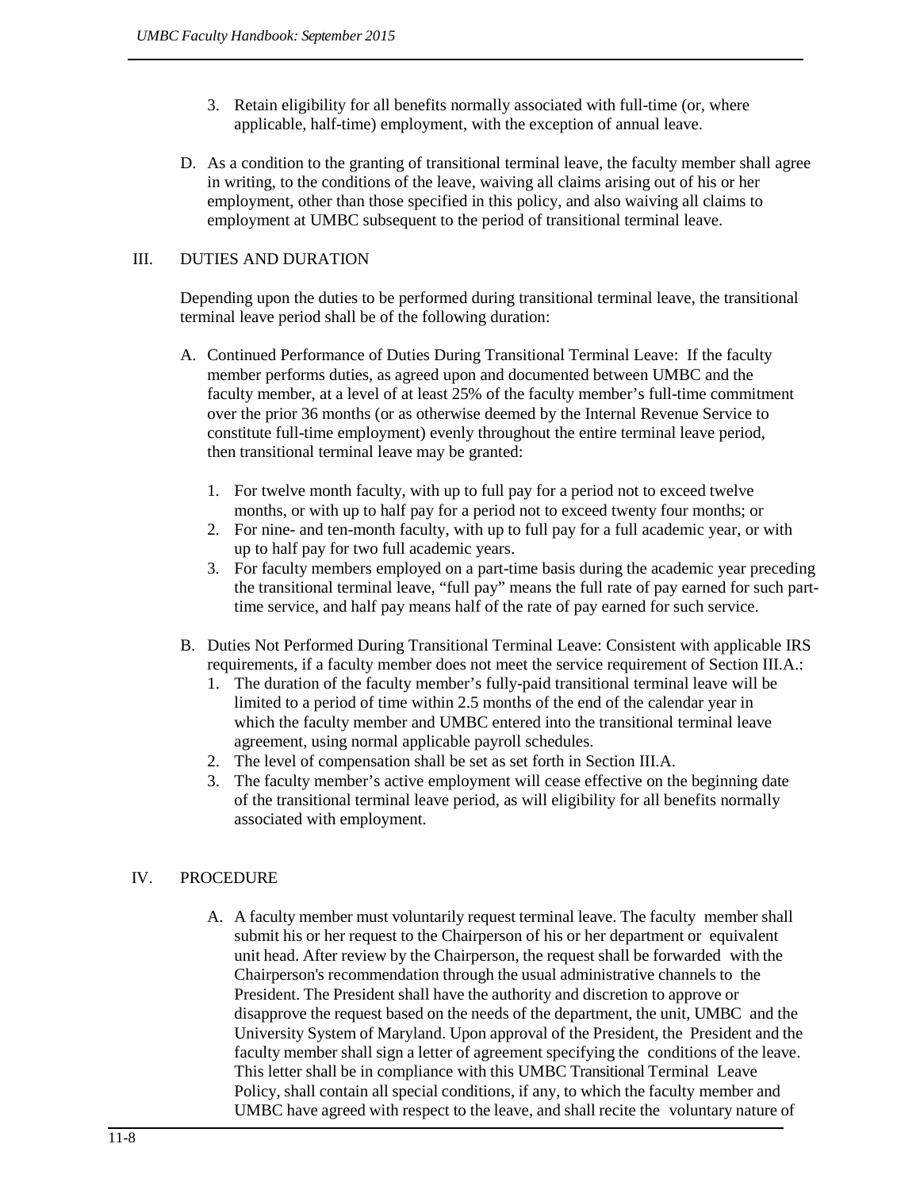- 3. Retain eligibility for all benefits normally associated with full-time (or, where applicable, half-time) employment, with the exception of annual leave.
- D. As a condition to the granting of transitional terminal leave, the faculty member shall agree in writing, to the conditions of the leave, waiving all claims arising out of his or her employment, other than those specified in this policy, and also waiving all claims to employment at UMBC subsequent to the period of transitional terminal leave.

## III. DUTIES AND DURATION

Depending upon the duties to be performed during transitional terminal leave, the transitional terminal leave period shall be of the following duration:

- A. Continued Performance of Duties During Transitional Terminal Leave: If the faculty member performs duties, as agreed upon and documented between UMBC and the faculty member, at a level of at least 25% of the faculty member's full-time commitment over the prior 36 months (or as otherwise deemed by the Internal Revenue Service to constitute full-time employment) evenly throughout the entire terminal leave period, then transitional terminal leave may be granted:
	- 1. For twelve month faculty, with up to full pay for a period not to exceed twelve months, or with up to half pay for a period not to exceed twenty four months; or
	- 2. For nine- and ten-month faculty, with up to full pay for a full academic year, or with up to half pay for two full academic years.
	- 3. For faculty members employed on a part-time basis during the academic year preceding the transitional terminal leave, "full pay" means the full rate of pay earned for such parttime service, and half pay means half of the rate of pay earned for such service.
- B. Duties Not Performed During Transitional Terminal Leave: Consistent with applicable IRS requirements, if a faculty member does not meet the service requirement of Section III.A.:
	- 1. The duration of the faculty member's fully-paid transitional terminal leave will be limited to a period of time within 2.5 months of the end of the calendar year in which the faculty member and UMBC entered into the transitional terminal leave agreement, using normal applicable payroll schedules.
	- 2. The level of compensation shall be set as set forth in Section III.A.
	- 3. The faculty member's active employment will cease effective on the beginning date of the transitional terminal leave period, as will eligibility for all benefits normally associated with employment.

# IV. PROCEDURE

<span id="page-7-0"></span>A. A faculty member must voluntarily request terminal leave. The faculty member shall submit his or her request to the Chairperson of his or her department or equivalent unit head. After review by the Chairperson, the request shall be forwarded with the Chairperson's recommendation through the usual administrative channels to the President. The President shall have the authority and discretion to approve or disapprove the request based on the needs of the department, the unit, UMBC and the University System of Maryland. Upon approval of the President, the President and the faculty member shall sign a letter of agreement specifying the conditions of the leave. This letter shall be in compliance with this UMBC Transitional Terminal Leave Policy, shall contain all special conditions, if any, to which the faculty member and UMBC have agreed with respect to the leave, and shall recite the voluntary nature of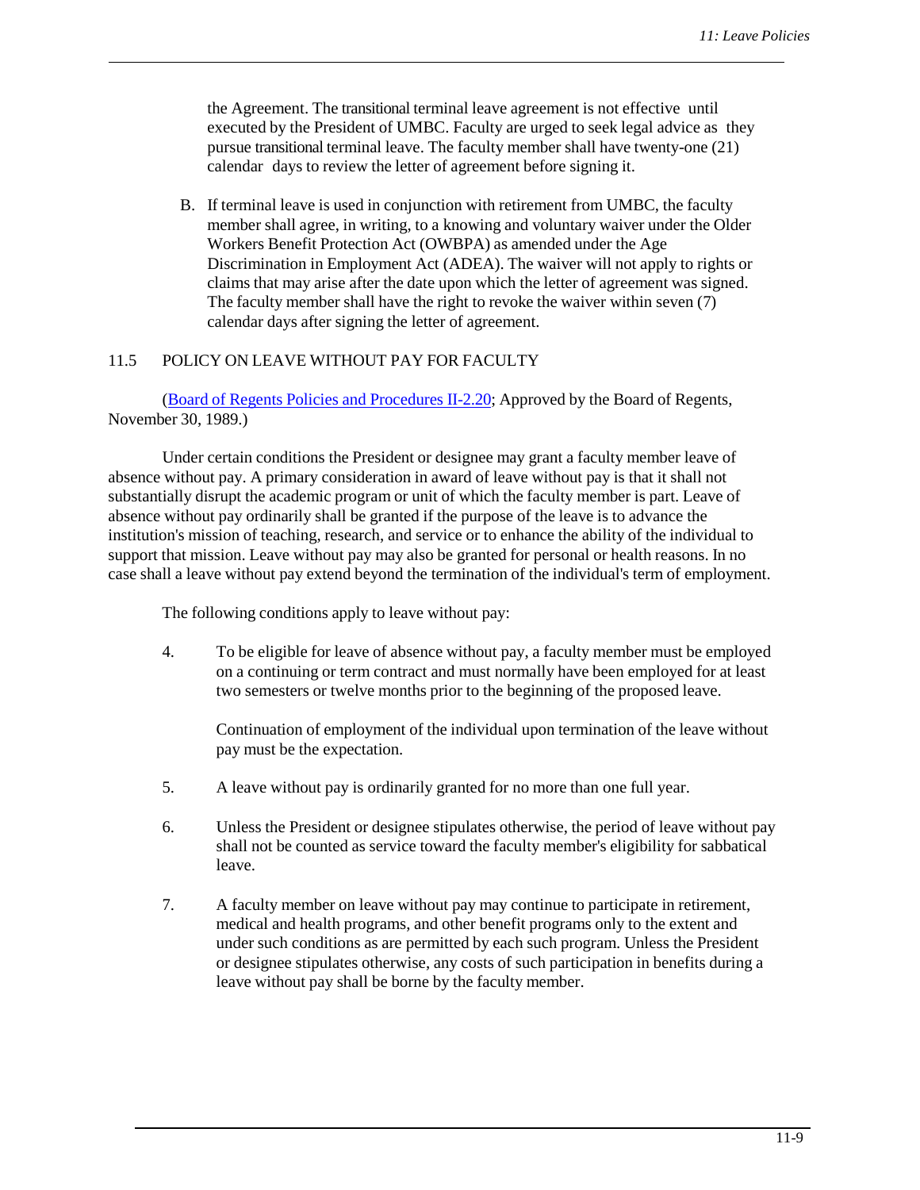the Agreement. The transitional terminal leave agreement is not effective until executed by the President of UMBC. Faculty are urged to seek legal advice as they pursue transitional terminal leave. The faculty member shall have twenty-one (21) calendar days to review the letter of agreement before signing it.

B. If terminal leave is used in conjunction with retirement from UMBC, the faculty member shall agree, in writing, to a knowing and voluntary waiver under the Older Workers Benefit Protection Act (OWBPA) as amended under the Age Discrimination in Employment Act (ADEA). The waiver will not apply to rights or claims that may arise after the date upon which the letter of agreement was signed. The faculty member shall have the right to revoke the waiver within seven (7) calendar days after signing the letter of agreement.

#### 11.5 POLICY ON LEAVE WITHOUT PAY FOR FACULTY

<span id="page-8-0"></span>(Board of Regents Policies and [Procedures](http://www.usmd.edu/regents/bylaws/SectionII/II220.html) II-2.20; Approved by the Board of Regents, November 30, 1989.)

Under certain conditions the President or designee may grant a faculty member leave of absence without pay. A primary consideration in award of leave without pay is that it shall not substantially disrupt the academic program or unit of which the faculty member is part. Leave of absence without pay ordinarily shall be granted if the purpose of the leave is to advance the institution's mission of teaching, research, and service or to enhance the ability of the individual to support that mission. Leave without pay may also be granted for personal or health reasons. In no case shall a leave without pay extend beyond the termination of the individual's term of employment.

The following conditions apply to leave without pay:

4. To be eligible for leave of absence without pay, a faculty member must be employed on a continuing or term contract and must normally have been employed for at least two semesters or twelve months prior to the beginning of the proposed leave.

Continuation of employment of the individual upon termination of the leave without pay must be the expectation.

- 5. A leave without pay is ordinarily granted for no more than one full year.
- 6. Unless the President or designee stipulates otherwise, the period of leave without pay shall not be counted as service toward the faculty member's eligibility for sabbatical leave.
- 7. A faculty member on leave without pay may continue to participate in retirement, medical and health programs, and other benefit programs only to the extent and under such conditions as are permitted by each such program. Unless the President or designee stipulates otherwise, any costs of such participation in benefits during a leave without pay shall be borne by the faculty member.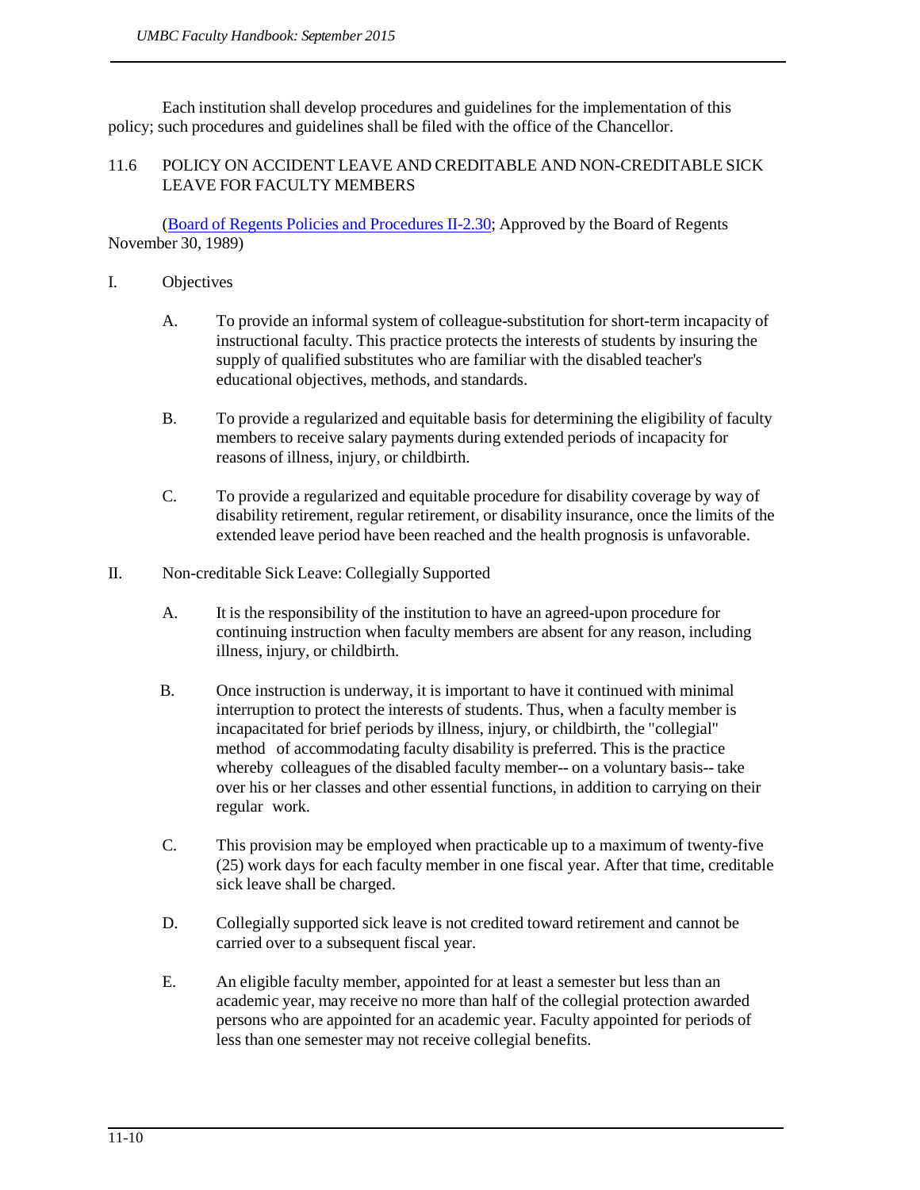Each institution shall develop procedures and guidelines for the implementation of this policy; such procedures and guidelines shall be filed with the office of the Chancellor.

## 11.6 POLICY ON ACCIDENT LEAVE AND CREDITABLE AND NON-CREDITABLE SICK LEAVE FOR FACULTY MEMBERS

(Board of Regents Policies and [Procedures](http://www.usmd.edu/regents/bylaws/SectionII/II230.html) II-2.30; Approved by the Board of Regents November 30, 1989)

- I. Objectives
	- A. To provide an informal system of colleague-substitution for short-term incapacity of instructional faculty. This practice protects the interests of students by insuring the supply of qualified substitutes who are familiar with the disabled teacher's educational objectives, methods, and standards.
	- B. To provide a regularized and equitable basis for determining the eligibility of faculty members to receive salary payments during extended periods of incapacity for reasons of illness, injury, or childbirth.
	- C. To provide a regularized and equitable procedure for disability coverage by way of disability retirement, regular retirement, or disability insurance, once the limits of the extended leave period have been reached and the health prognosis is unfavorable.
- II. Non-creditable Sick Leave: Collegially Supported
	- A. It is the responsibility of the institution to have an agreed-upon procedure for continuing instruction when faculty members are absent for any reason, including illness, injury, or childbirth.
	- B. Once instruction is underway, it is important to have it continued with minimal interruption to protect the interests of students. Thus, when a faculty member is incapacitated for brief periods by illness, injury, or childbirth, the "collegial" method of accommodating faculty disability is preferred. This is the practice whereby colleagues of the disabled faculty member-- on a voluntary basis-- take over his or her classes and other essential functions, in addition to carrying on their regular work.
	- C. This provision may be employed when practicable up to a maximum of twenty-five (25) work days for each faculty member in one fiscal year. After that time, creditable sick leave shall be charged.
	- D. Collegially supported sick leave is not credited toward retirement and cannot be carried over to a subsequent fiscal year.
	- E. An eligible faculty member, appointed for at least a semester but less than an academic year, may receive no more than half of the collegial protection awarded persons who are appointed for an academic year. Faculty appointed for periods of less than one semester may not receive collegial benefits.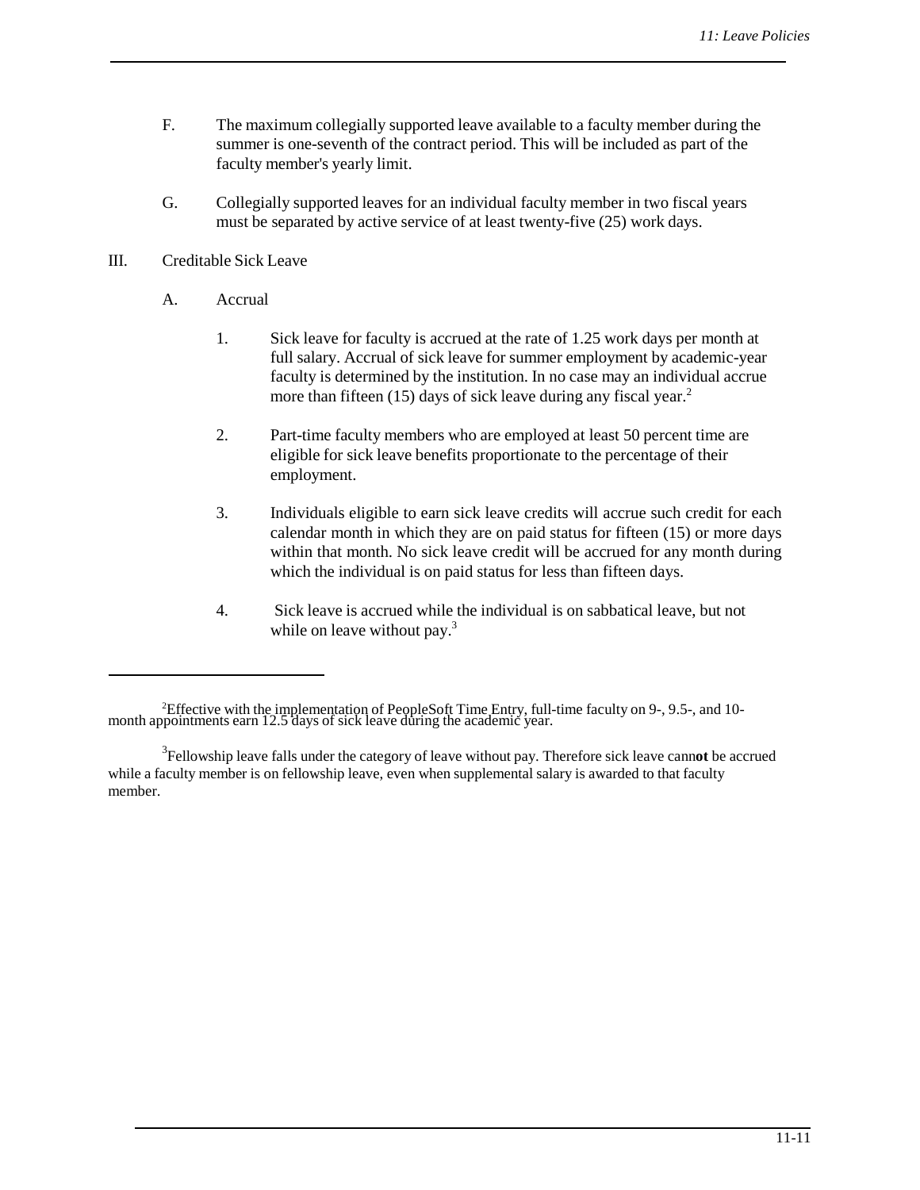- F. The maximum collegially supported leave available to a faculty member during the summer is one-seventh of the contract period. This will be included as part of the faculty member's yearly limit.
- G. Collegially supported leaves for an individual faculty member in two fiscal years must be separated by active service of at least twenty-five (25) work days.

### III. Creditable Sick Leave

- A. Accrual
	- 1. Sick leave for faculty is accrued at the rate of 1.25 work days per month at full salary. Accrual of sick leave for summer employment by academic-year faculty is determined by the institution. In no case may an individual accrue more than fifteen  $(15)$  days of sick leave during any fiscal year.<sup>2</sup>
	- 2. Part-time faculty members who are employed at least 50 percent time are eligible for sick leave benefits proportionate to the percentage of their employment.
	- 3. Individuals eligible to earn sick leave credits will accrue such credit for each calendar month in which they are on paid status for fifteen (15) or more days within that month. No sick leave credit will be accrued for any month during which the individual is on paid status for less than fifteen days.
	- 4. Sick leave is accrued while the individual is on sabbatical leave, but not while on leave without pay.<sup>3</sup>

<sup>2</sup> Effective with the implementation of PeopleSoft Time Entry, full-time faculty on 9-, 9.5-, and 10- month appointments earn 12.5 days of sick leave during the academic year.

<sup>3</sup> Fellowship leave falls under the category of leave without pay. Therefore sick leave cann**ot** be accrued while a faculty member is on fellowship leave, even when supplemental salary is awarded to that faculty member.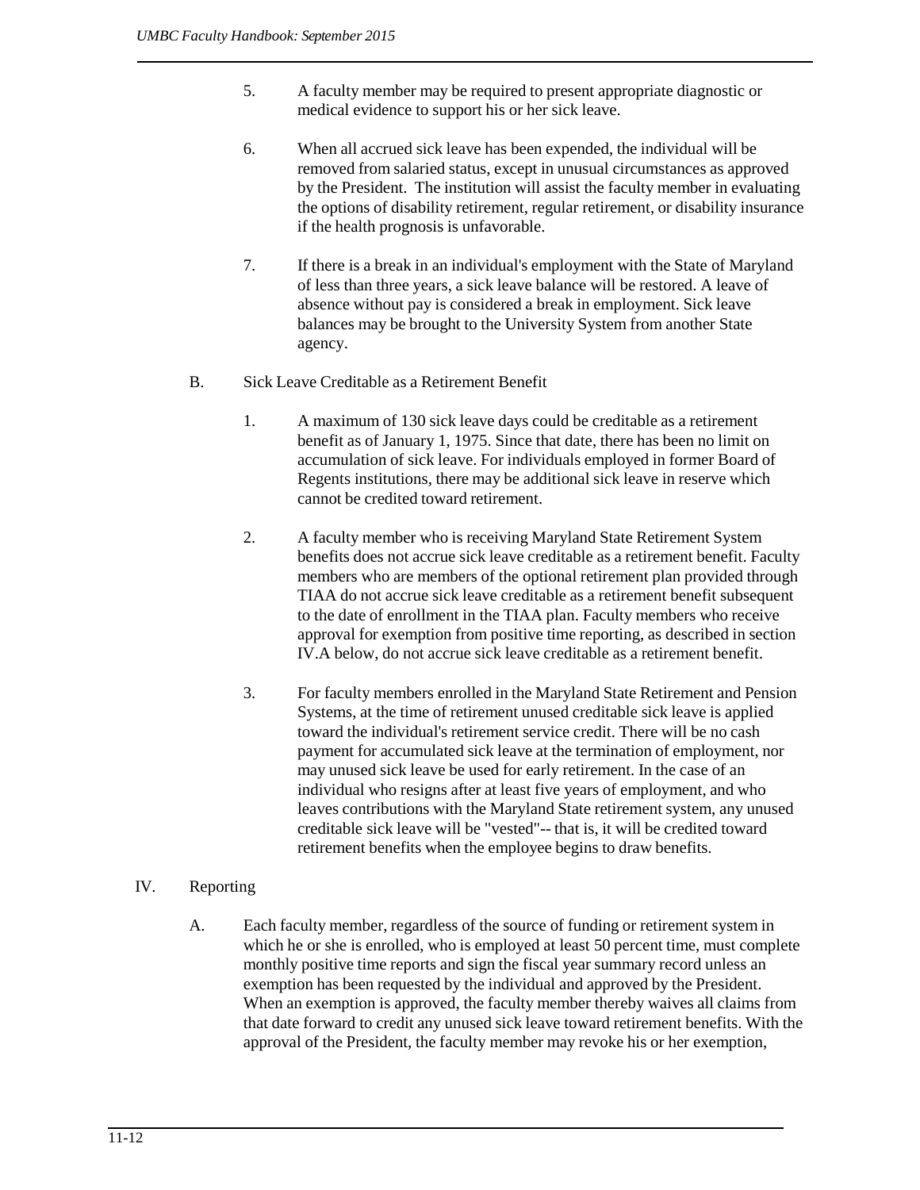- 5. A faculty member may be required to present appropriate diagnostic or medical evidence to support his or her sick leave.
- 6. When all accrued sick leave has been expended, the individual will be removed from salaried status, except in unusual circumstances as approved by the President. The institution will assist the faculty member in evaluating the options of disability retirement, regular retirement, or disability insurance if the health prognosis is unfavorable.
- 7. If there is a break in an individual's employment with the State of Maryland of less than three years, a sick leave balance will be restored. A leave of absence without pay is considered a break in employment. Sick leave balances may be brought to the University System from another State agency.
- <span id="page-11-0"></span>B. Sick Leave Creditable as a Retirement Benefit
	- 1. A maximum of 130 sick leave days could be creditable as a retirement benefit as of January 1, 1975. Since that date, there has been no limit on accumulation of sick leave. For individuals employed in former Board of Regents institutions, there may be additional sick leave in reserve which cannot be credited toward retirement.
	- 2. A faculty member who is receiving Maryland State Retirement System benefits does not accrue sick leave creditable as a retirement benefit. Faculty members who are members of the optional retirement plan provided through TIAA do not accrue sick leave creditable as a retirement benefit subsequent to the date of enrollment in the TIAA plan. Faculty members who receive approval for exemption from positive time reporting, as described in section IV.A below, do not accrue sick leave creditable as a retirement benefit.
	- 3. For faculty members enrolled in the Maryland State Retirement and Pension Systems, at the time of retirement unused creditable sick leave is applied toward the individual's retirement service credit. There will be no cash payment for accumulated sick leave at the termination of employment, nor may unused sick leave be used for early retirement. In the case of an individual who resigns after at least five years of employment, and who leaves contributions with the Maryland State retirement system, any unused creditable sick leave will be "vested"-- that is, it will be credited toward retirement benefits when the employee begins to draw benefits.
- IV. Reporting
	- A. Each faculty member, regardless of the source of funding or retirement system in which he or she is enrolled, who is employed at least 50 percent time, must complete monthly positive time reports and sign the fiscal year summary record unless an exemption has been requested by the individual and approved by the President. When an exemption is approved, the faculty member thereby waives all claims from that date forward to credit any unused sick leave toward retirement benefits. With the approval of the President, the faculty member may revoke his or her exemption,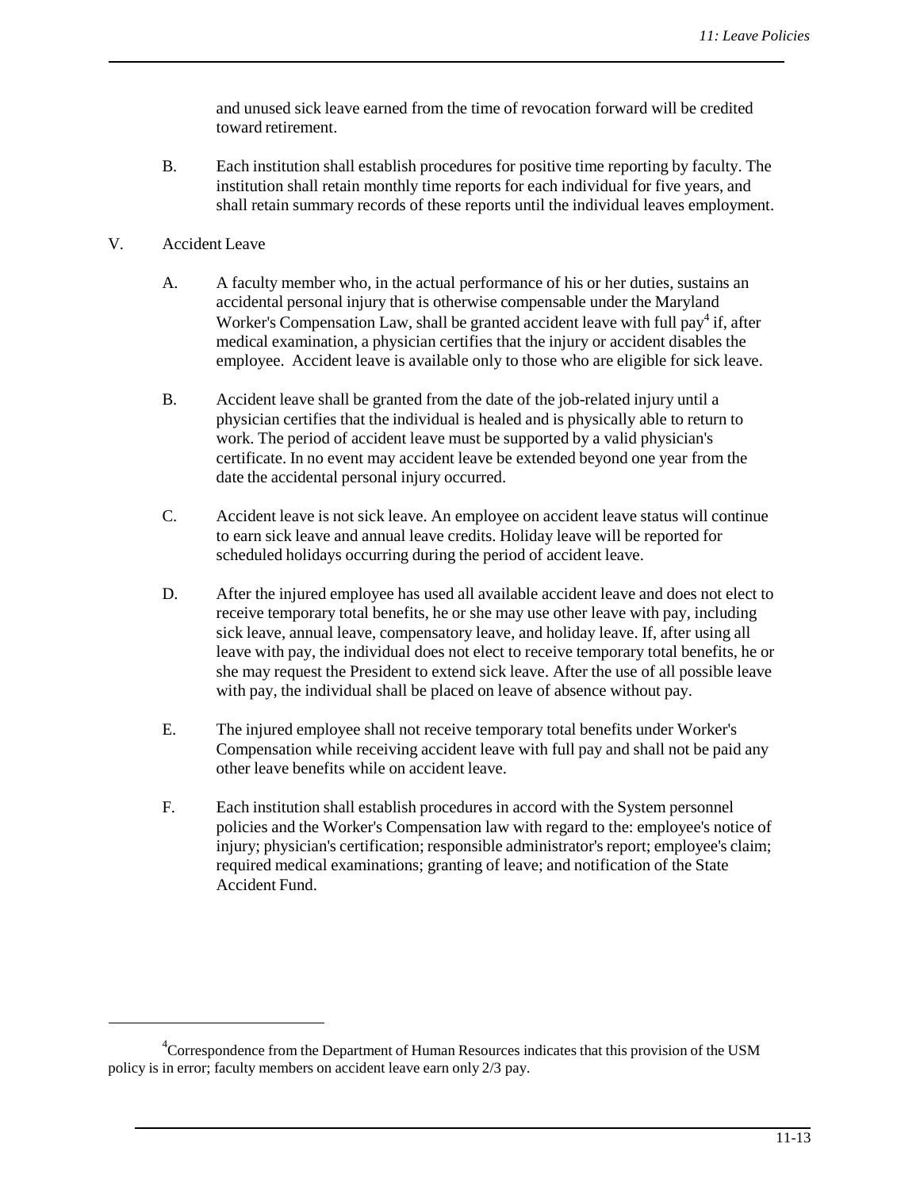and unused sick leave earned from the time of revocation forward will be credited toward retirement.

B. Each institution shall establish procedures for positive time reporting by faculty. The institution shall retain monthly time reports for each individual for five years, and shall retain summary records of these reports until the individual leaves employment.

## V. Accident Leave

- A. A faculty member who, in the actual performance of his or her duties, sustains an accidental personal injury that is otherwise compensable under the Maryland Worker's Compensation Law, shall be granted accident leave with full pay<sup>4</sup> if, after medical examination, a physician certifies that the injury or accident disables the employee. Accident leave is available only to those who are eligible for sick leave.
- B. Accident leave shall be granted from the date of the job-related injury until a physician certifies that the individual is healed and is physically able to return to work. The period of accident leave must be supported by a valid physician's certificate. In no event may accident leave be extended beyond one year from the date the accidental personal injury occurred.
- <span id="page-12-1"></span>C. Accident leave is not sick leave. An employee on accident leave status will continue to earn sick leave and annual leave credits. Holiday leave will be reported for scheduled holidays occurring during the period of accident leave.
- D. After the injured employee has used all available accident leave and does not elect to receive temporary total benefits, he or she may use other leave with pay, including sick leave, annual leave, compensatory leave, and holiday leave. If, after using all leave with pay, the individual does not elect to receive temporary total benefits, he or she may request the President to extend sick leave. After the use of all possible leave with pay, the individual shall be placed on leave of absence without pay.
- E. The injured employee shall not receive temporary total benefits under Worker's Compensation while receiving accident leave with full pay and shall not be paid any other leave benefits while on accident leave.
- F. Each institution shall establish procedures in accord with the System personnel policies and the Worker's Compensation law with regard to the: employee's notice of injury; physician's certification; responsible administrator's report; employee's claim; required medical examinations; granting of leave; and notification of the State Accident Fund.

<span id="page-12-0"></span><sup>&</sup>lt;sup>4</sup>Correspondence from the Department of Human Resources indicates that this provision of the USM policy is in error; faculty members on accident leave earn only 2/3 pay.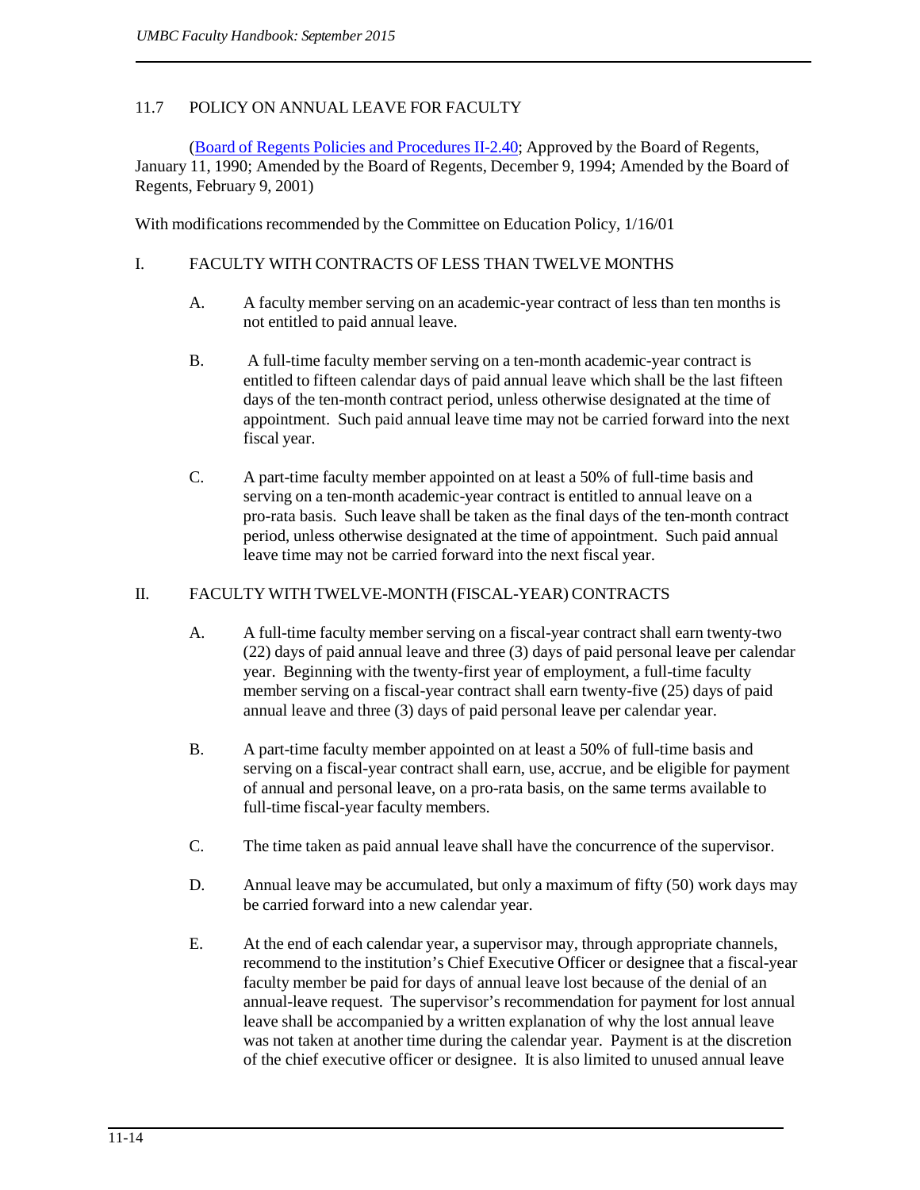## 11.7 POLICY ON ANNUAL LEAVE FOR FACULTY

(Board of Regents Policies and [Procedures](http://www.usmd.edu/regents/bylaws/SectionII/II240.html) II-2.40; Approved by the Board of Regents, January 11, 1990; Amended by the Board of Regents, December 9, 1994; Amended by the Board of Regents, February 9, 2001)

With modifications recommended by the Committee on Education Policy, 1/16/01

## I. FACULTY WITH CONTRACTS OF LESS THAN TWELVE MONTHS

- A. A faculty member serving on an academic-year contract of less than ten months is not entitled to paid annual leave.
- B. A full-time faculty member serving on a ten-month academic-year contract is entitled to fifteen calendar days of paid annual leave which shall be the last fifteen days of the ten-month contract period, unless otherwise designated at the time of appointment. Such paid annual leave time may not be carried forward into the next fiscal year.
- C. A part-time faculty member appointed on at least a 50% of full-time basis and serving on a ten-month academic-year contract is entitled to annual leave on a pro-rata basis. Such leave shall be taken as the final days of the ten-month contract period, unless otherwise designated at the time of appointment. Such paid annual leave time may not be carried forward into the next fiscal year.

#### II. FACULTY WITH TWELVE-MONTH (FISCAL-YEAR) CONTRACTS

- A. A full-time faculty member serving on a fiscal-year contract shall earn twenty-two (22) days of paid annual leave and three (3) days of paid personal leave per calendar year. Beginning with the twenty-first year of employment, a full-time faculty member serving on a fiscal-year contract shall earn twenty-five (25) days of paid annual leave and three (3) days of paid personal leave per calendar year.
- B. A part-time faculty member appointed on at least a 50% of full-time basis and serving on a fiscal-year contract shall earn, use, accrue, and be eligible for payment of annual and personal leave, on a pro-rata basis, on the same terms available to full-time fiscal-year faculty members.
- C. The time taken as paid annual leave shall have the concurrence of the supervisor.
- D. Annual leave may be accumulated, but only a maximum of fifty (50) work days may be carried forward into a new calendar year.
- E. At the end of each calendar year, a supervisor may, through appropriate channels, recommend to the institution's Chief Executive Officer or designee that a fiscal-year faculty member be paid for days of annual leave lost because of the denial of an annual-leave request. The supervisor's recommendation for payment for lost annual leave shall be accompanied by a written explanation of why the lost annual leave was not taken at another time during the calendar year. Payment is at the discretion of the chief executive officer or designee. It is also limited to unused annual leave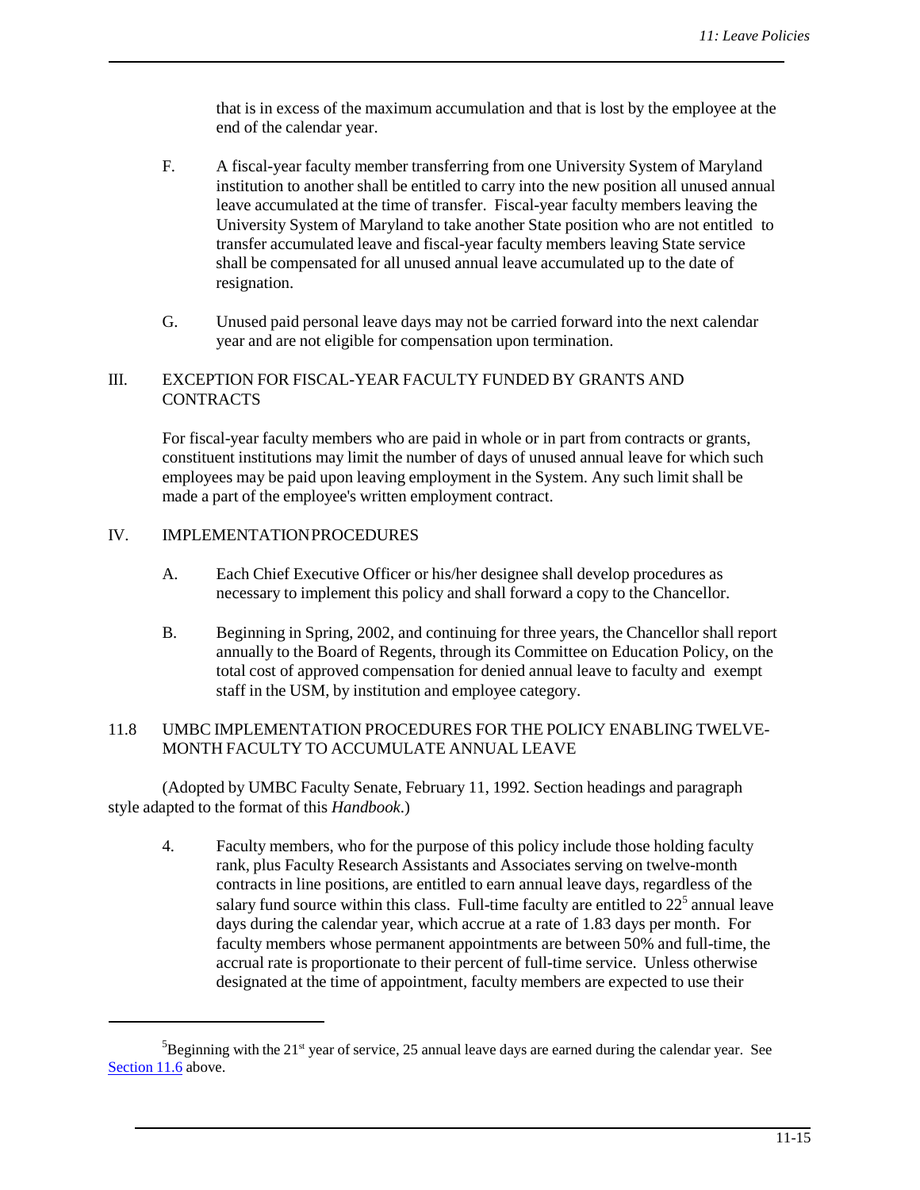that is in excess of the maximum accumulation and that is lost by the employee at the end of the calendar year.

- F. A fiscal-year faculty member transferring from one University System of Maryland institution to another shall be entitled to carry into the new position all unused annual leave accumulated at the time of transfer. Fiscal-year faculty members leaving the University System of Maryland to take another State position who are not entitled to transfer accumulated leave and fiscal-year faculty members leaving State service shall be compensated for all unused annual leave accumulated up to the date of resignation.
- G. Unused paid personal leave days may not be carried forward into the next calendar year and are not eligible for compensation upon termination.

# III. EXCEPTION FOR FISCAL-YEAR FACULTY FUNDED BY GRANTS AND **CONTRACTS**

For fiscal-year faculty members who are paid in whole or in part from contracts or grants, constituent institutions may limit the number of days of unused annual leave for which such employees may be paid upon leaving employment in the System. Any such limit shall be made a part of the employee's written employment contract.

## IV. IMPLEMENTATIONPROCEDURES

- A. Each Chief Executive Officer or his/her designee shall develop procedures as necessary to implement this policy and shall forward a copy to the Chancellor.
- B. Beginning in Spring, 2002, and continuing for three years, the Chancellor shall report annually to the Board of Regents, through its Committee on Education Policy, on the total cost of approved compensation for denied annual leave to faculty and exempt staff in the USM, by institution and employee category.

## 11.8 UMBC IMPLEMENTATION PROCEDURES FOR THE POLICY ENABLING TWELVE-MONTH FACULTY TO ACCUMULATE ANNUAL LEAVE

(Adopted by UMBC Faculty Senate, February 11, 1992. Section headings and paragraph style adapted to the format of this *Handbook*.)

4. Faculty members, who for the purpose of this policy include those holding faculty rank, plus Faculty Research Assistants and Associates serving on twelve-month contracts in line positions, are entitled to earn annual leave days, regardless of the salary fund source within this class. Full-time faculty are entitled to  $22<sup>5</sup>$  annual leave days during the calendar year, which accrue at a rate of 1.83 days per month. For faculty members whose permanent appointments are between 50% and full-time, the accrual rate is proportionate to their percent of full-time service. Unless otherwise designated at the time of appointment, faculty members are expected to use their

 ${}^{5}$ Beginning with the 21<sup>st</sup> year of service, 25 annual leave days are earned during the calendar year. See [Section](http://provost.umbc.edu/faculty-handbook/) 11.6 above.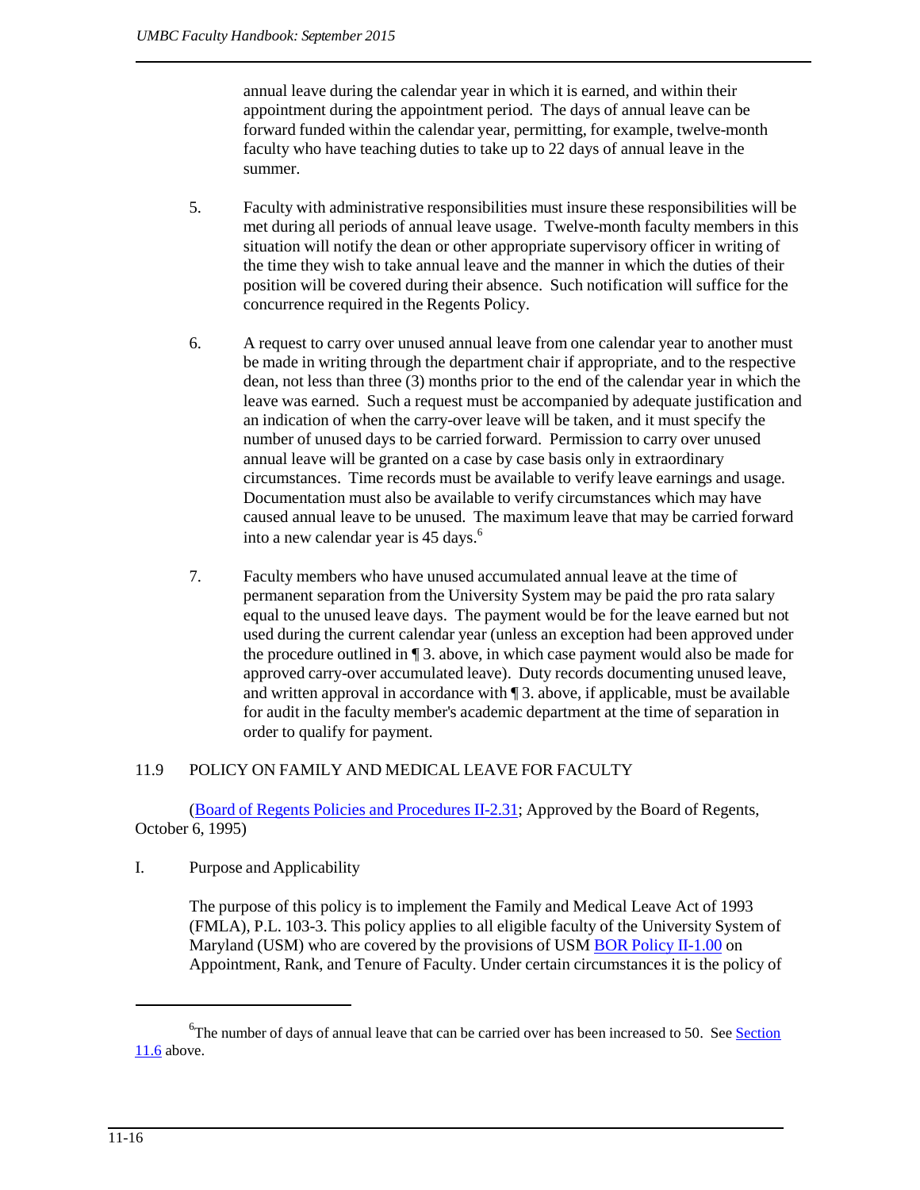<span id="page-15-0"></span>annual leave during the calendar year in which it is earned, and within their appointment during the appointment period. The days of annual leave can be forward funded within the calendar year, permitting, for example, twelve-month faculty who have teaching duties to take up to 22 days of annual leave in the summer.

- 5. Faculty with administrative responsibilities must insure these responsibilities will be met during all periods of annual leave usage. Twelve-month faculty members in this situation will notify the dean or other appropriate supervisory officer in writing of the time they wish to take annual leave and the manner in which the duties of their position will be covered during their absence. Such notification will suffice for the concurrence required in the Regents Policy.
- 6. A request to carry over unused annual leave from one calendar year to another must be made in writing through the department chair if appropriate, and to the respective dean, not less than three (3) months prior to the end of the calendar year in which the leave was earned. Such a request must be accompanied by adequate justification and an indication of when the carry-over leave will be taken, and it must specify the number of unused days to be carried forward. Permission to carry over unused annual leave will be granted on a case by case basis only in extraordinary circumstances. Time records must be available to verify leave earnings and usage. Documentation must also be available to verify circumstances which may have caused annual leave to be unused. The maximum leave that may be carried forward into a new calendar year is 45 days.<sup>6</sup>
- 7. Faculty members who have unused accumulated annual leave at the time of permanent separation from the University System may be paid the pro rata salary equal to the unused leave days. The payment would be for the leave earned but not used during the current calendar year (unless an exception had been approved under the procedure outlined in ¶ 3. above, in which case payment would also be made for approved carry-over accumulated leave). Duty records documenting unused leave, and written approval in accordance with ¶ 3. above, if applicable, must be available for audit in the faculty member's academic department at the time of separation in order to qualify for payment.

# 11.9 POLICY ON FAMILY AND MEDICAL LEAVE FOR FACULTY

(Board of Regents Policies and [Procedures](http://www.usmd.edu/Leadership/BoardOfRegents/Bylaws/SectionII/II231.html) II-2.31; Approved by the Board of Regents, October 6, 1995)

I. Purpose and Applicability

The purpose of this policy is to implement the Family and Medical Leave Act of 1993 (FMLA), P.L. 103-3. This policy applies to all eligible faculty of the University System of Maryland (USM) who are covered by the provisions of USM BOR Policy II-1.00 on Appointment, Rank, and Tenure of Faculty. Under certain circumstances it is the policy of

 ${}^{6}$ The number of days of annual leave that can be carried over has been increased to 50. See **[Section](http://provost.umbc.edu/faculty-handbook/)** [11.6](http://provost.umbc.edu/faculty-handbook/) above.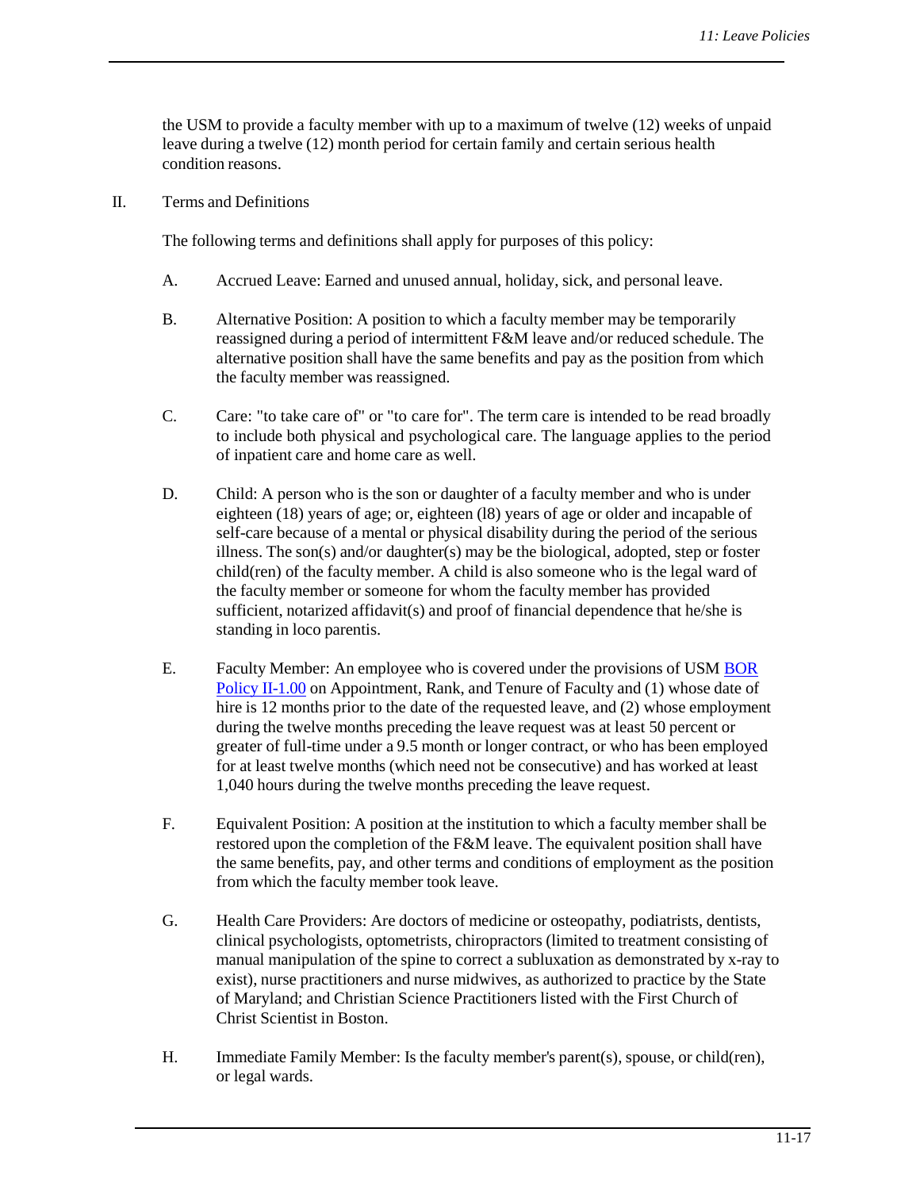the USM to provide a faculty member with up to a maximum of twelve (12) weeks of unpaid leave during a twelve (12) month period for certain family and certain serious health condition reasons.

II. Terms and Definitions

The following terms and definitions shall apply for purposes of this policy:

- A. Accrued Leave: Earned and unused annual, holiday, sick, and personal leave.
- B. Alternative Position: A position to which a faculty member may be temporarily reassigned during a period of intermittent F&M leave and/or reduced schedule. The alternative position shall have the same benefits and pay as the position from which the faculty member was reassigned.
- C. Care: "to take care of" or "to care for". The term care is intended to be read broadly to include both physical and psychological care. The language applies to the period of inpatient care and home care as well.
- D. Child: A person who is the son or daughter of a faculty member and who is under eighteen (18) years of age; or, eighteen (l8) years of age or older and incapable of self-care because of a mental or physical disability during the period of the serious illness. The son(s) and/or daughter(s) may be the biological, adopted, step or foster child(ren) of the faculty member. A child is also someone who is the legal ward of the faculty member or someone for whom the faculty member has provided sufficient, notarized affidavit(s) and proof of financial dependence that he/she is standing in loco parentis.
- E. Faculty Member: An employee who is covered under the provisions of USM BOR Policy II-1.00 on Appointment, Rank, and Tenure of Faculty and (1) whose date of hire is 12 months prior to the date of the requested leave, and (2) whose employment during the twelve months preceding the leave request was at least 50 percent or greater of full-time under a 9.5 month or longer contract, or who has been employed for at least twelve months (which need not be consecutive) and has worked at least 1,040 hours during the twelve months preceding the leave request.
- F. Equivalent Position: A position at the institution to which a faculty member shall be restored upon the completion of the F&M leave. The equivalent position shall have the same benefits, pay, and other terms and conditions of employment as the position from which the faculty member took leave.
- G. Health Care Providers: Are doctors of medicine or osteopathy, podiatrists, dentists, clinical psychologists, optometrists, chiropractors (limited to treatment consisting of manual manipulation of the spine to correct a subluxation as demonstrated by x-ray to exist), nurse practitioners and nurse midwives, as authorized to practice by the State of Maryland; and Christian Science Practitioners listed with the First Church of Christ Scientist in Boston.
- H. Immediate Family Member: Is the faculty member's parent(s), spouse, or child(ren), or legal wards.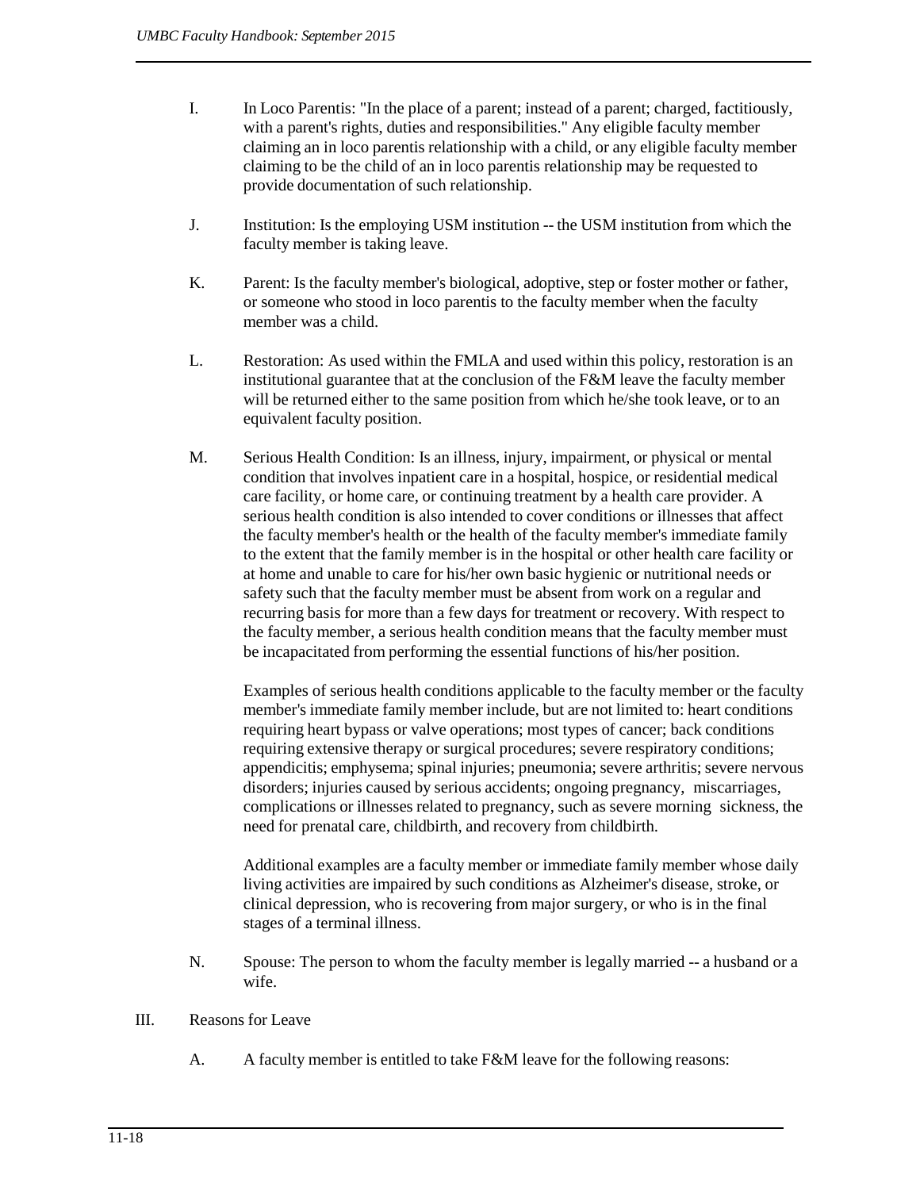- I. In Loco Parentis: "In the place of a parent; instead of a parent; charged, factitiously, with a parent's rights, duties and responsibilities." Any eligible faculty member claiming an in loco parentis relationship with a child, or any eligible faculty member claiming to be the child of an in loco parentis relationship may be requested to provide documentation of such relationship.
- J. Institution: Is the employing USM institution -- the USM institution from which the faculty member is taking leave.
- K. Parent: Is the faculty member's biological, adoptive, step or foster mother or father, or someone who stood in loco parentis to the faculty member when the faculty member was a child.
- L. Restoration: As used within the FMLA and used within this policy, restoration is an institutional guarantee that at the conclusion of the F&M leave the faculty member will be returned either to the same position from which he/she took leave, or to an equivalent faculty position.
- M. Serious Health Condition: Is an illness, injury, impairment, or physical or mental condition that involves inpatient care in a hospital, hospice, or residential medical care facility, or home care, or continuing treatment by a health care provider. A serious health condition is also intended to cover conditions or illnesses that affect the faculty member's health or the health of the faculty member's immediate family to the extent that the family member is in the hospital or other health care facility or at home and unable to care for his/her own basic hygienic or nutritional needs or safety such that the faculty member must be absent from work on a regular and recurring basis for more than a few days for treatment or recovery. With respect to the faculty member, a serious health condition means that the faculty member must be incapacitated from performing the essential functions of his/her position.

Examples of serious health conditions applicable to the faculty member or the faculty member's immediate family member include, but are not limited to: heart conditions requiring heart bypass or valve operations; most types of cancer; back conditions requiring extensive therapy or surgical procedures; severe respiratory conditions; appendicitis; emphysema; spinal injuries; pneumonia; severe arthritis; severe nervous disorders; injuries caused by serious accidents; ongoing pregnancy, miscarriages, complications or illnesses related to pregnancy, such as severe morning sickness, the need for prenatal care, childbirth, and recovery from childbirth.

Additional examples are a faculty member or immediate family member whose daily living activities are impaired by such conditions as Alzheimer's disease, stroke, or clinical depression, who is recovering from major surgery, or who is in the final stages of a terminal illness.

- N. Spouse: The person to whom the faculty member is legally married -- a husband or a wife.
- III. Reasons for Leave
	- A. A faculty member is entitled to take F&M leave for the following reasons: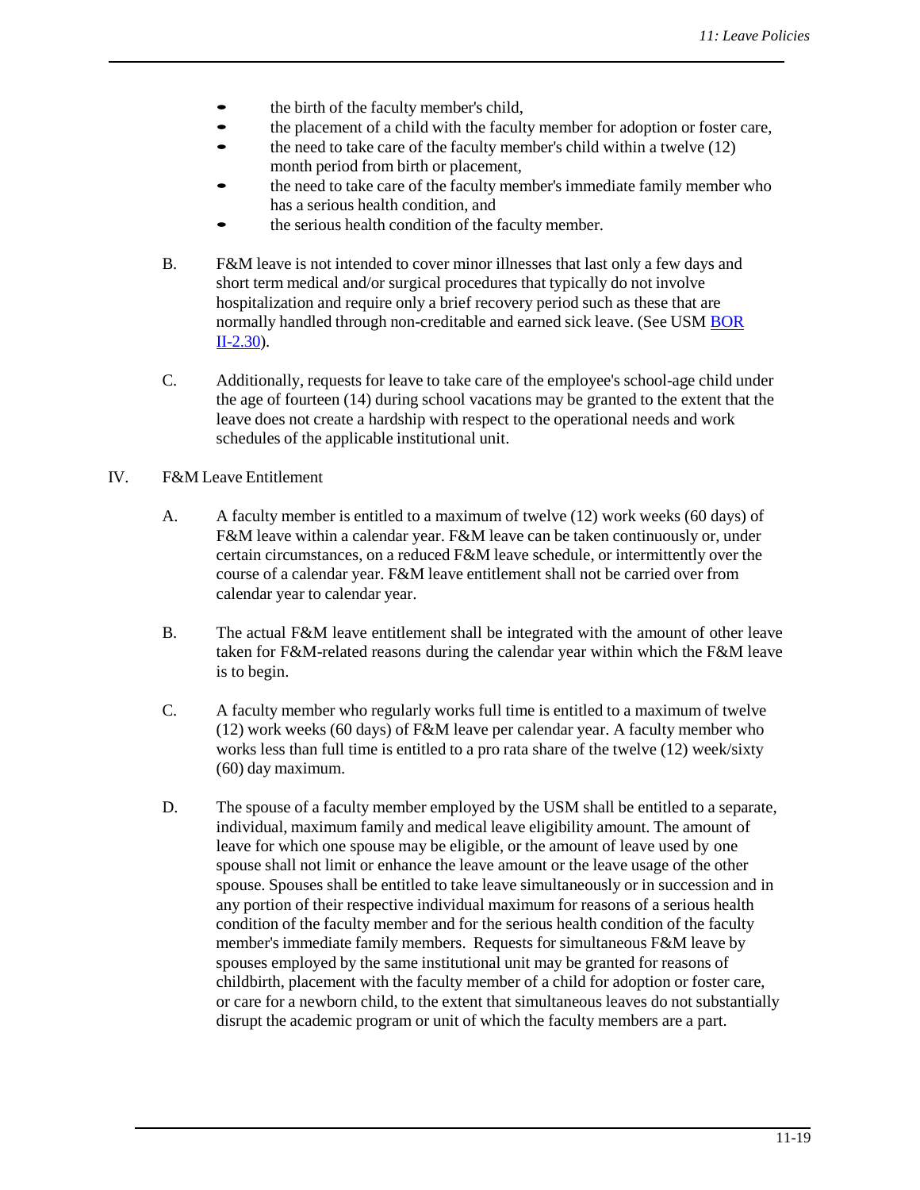- the birth of the faculty member's child,
- the placement of <sup>a</sup> child with the faculty member for adoption or foster care,
- the need to take care of the faculty member's child within <sup>a</sup> twelve (12) month period from birth or placement,
- the need to take care of the faculty member's immediate family member who has a serious health condition, and
- the serious health condition of the faculty member.
- B. F&M leave is not intended to cover minor illnesses that last only a few days and short term medical and/or surgical procedures that typically do not involve hospitalization and require only a brief recovery period such as these that are normally handled through non-creditable and earned sick leave. (See USM [BOR](http://www.usmd.edu/Leadership/BoardOfRegents/Bylaws/SectionII/II230.html)  [II-2.30\)](http://www.usmd.edu/Leadership/BoardOfRegents/Bylaws/SectionII/II230.html).
- C. Additionally, requests for leave to take care of the employee's school-age child under the age of fourteen (14) during school vacations may be granted to the extent that the leave does not create a hardship with respect to the operational needs and work schedules of the applicable institutional unit.

## IV. F&M Leave Entitlement

- A. A faculty member is entitled to a maximum of twelve (12) work weeks (60 days) of F&M leave within a calendar year. F&M leave can be taken continuously or, under certain circumstances, on a reduced F&M leave schedule, or intermittently over the course of a calendar year. F&M leave entitlement shall not be carried over from calendar year to calendar year.
- B. The actual F&M leave entitlement shall be integrated with the amount of other leave taken for F&M-related reasons during the calendar year within which the F&M leave is to begin.
- C. A faculty member who regularly works full time is entitled to a maximum of twelve (12) work weeks (60 days) of F&M leave per calendar year. A faculty member who works less than full time is entitled to a pro rata share of the twelve (12) week/sixty (60) day maximum.
- D. The spouse of a faculty member employed by the USM shall be entitled to a separate, individual, maximum family and medical leave eligibility amount. The amount of leave for which one spouse may be eligible, or the amount of leave used by one spouse shall not limit or enhance the leave amount or the leave usage of the other spouse. Spouses shall be entitled to take leave simultaneously or in succession and in any portion of their respective individual maximum for reasons of a serious health condition of the faculty member and for the serious health condition of the faculty member's immediate family members. Requests for simultaneous F&M leave by spouses employed by the same institutional unit may be granted for reasons of childbirth, placement with the faculty member of a child for adoption or foster care, or care for a newborn child, to the extent that simultaneous leaves do not substantially disrupt the academic program or unit of which the faculty members are a part.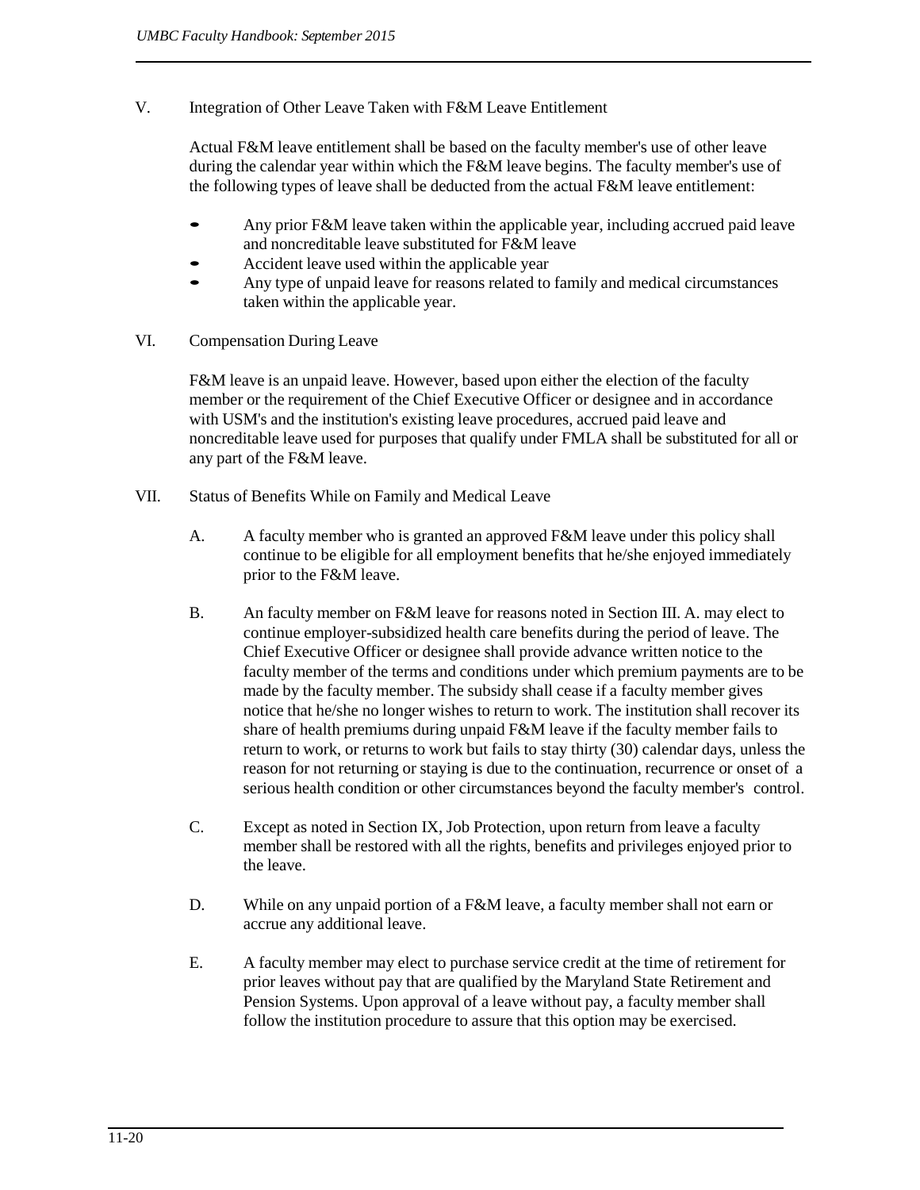V. Integration of Other Leave Taken with F&M Leave Entitlement

Actual F&M leave entitlement shall be based on the faculty member's use of other leave during the calendar year within which the F&M leave begins. The faculty member's use of the following types of leave shall be deducted from the actual F&M leave entitlement:

- Any prior F&M leave taken within the applicable year, including accrued paid leave and noncreditable leave substituted for F&M leave
- Accident leave used within the applicable year
- Any type of unpaid leave for reasons related to family and medical circumstances taken within the applicable year.
- VI. Compensation During Leave

F&M leave is an unpaid leave. However, based upon either the election of the faculty member or the requirement of the Chief Executive Officer or designee and in accordance with USM's and the institution's existing leave procedures, accrued paid leave and noncreditable leave used for purposes that qualify under FMLA shall be substituted for all or any part of the F&M leave.

- VII. Status of Benefits While on Family and Medical Leave
	- A. A faculty member who is granted an approved F&M leave under this policy shall continue to be eligible for all employment benefits that he/she enjoyed immediately prior to the F&M leave.
	- B. An faculty member on F&M leave for reasons noted in Section III. A. may elect to continue employer-subsidized health care benefits during the period of leave. The Chief Executive Officer or designee shall provide advance written notice to the faculty member of the terms and conditions under which premium payments are to be made by the faculty member. The subsidy shall cease if a faculty member gives notice that he/she no longer wishes to return to work. The institution shall recover its share of health premiums during unpaid F&M leave if the faculty member fails to return to work, or returns to work but fails to stay thirty (30) calendar days, unless the reason for not returning or staying is due to the continuation, recurrence or onset of a serious health condition or other circumstances beyond the faculty member's control.
	- C. Except as noted in Section IX, Job Protection, upon return from leave a faculty member shall be restored with all the rights, benefits and privileges enjoyed prior to the leave.
	- D. While on any unpaid portion of a F&M leave, a faculty member shall not earn or accrue any additional leave.
	- E. A faculty member may elect to purchase service credit at the time of retirement for prior leaves without pay that are qualified by the Maryland State Retirement and Pension Systems. Upon approval of a leave without pay, a faculty member shall follow the institution procedure to assure that this option may be exercised.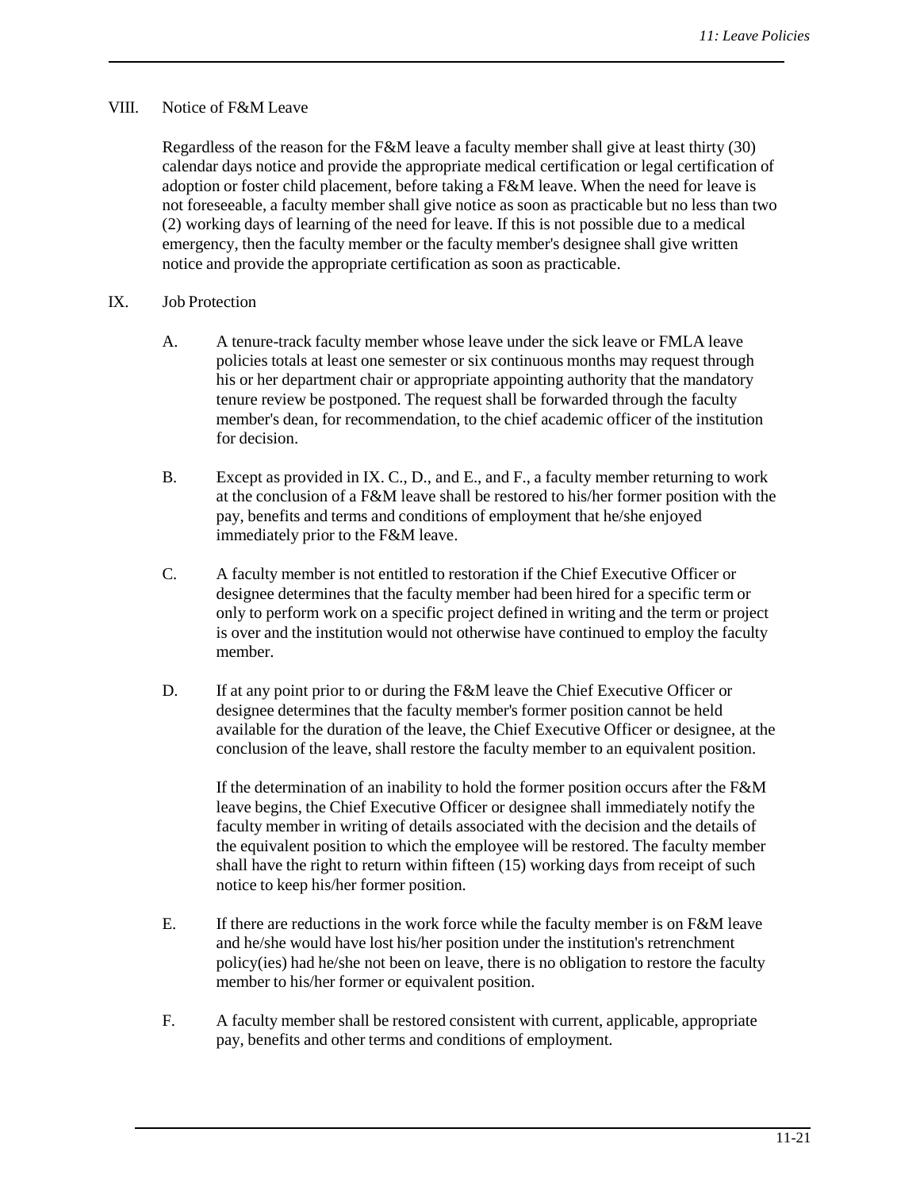#### VIII. Notice of F&M Leave

Regardless of the reason for the F&M leave a faculty member shall give at least thirty (30) calendar days notice and provide the appropriate medical certification or legal certification of adoption or foster child placement, before taking a F&M leave. When the need for leave is not foreseeable, a faculty member shall give notice as soon as practicable but no less than two (2) working days of learning of the need for leave. If this is not possible due to a medical emergency, then the faculty member or the faculty member's designee shall give written notice and provide the appropriate certification as soon as practicable.

#### IX. Job Protection

- A. A tenure-track faculty member whose leave under the sick leave or FMLA leave policies totals at least one semester or six continuous months may request through his or her department chair or appropriate appointing authority that the mandatory tenure review be postponed. The request shall be forwarded through the faculty member's dean, for recommendation, to the chief academic officer of the institution for decision.
- B. Except as provided in IX. C., D., and E., and F., a faculty member returning to work at the conclusion of a F&M leave shall be restored to his/her former position with the pay, benefits and terms and conditions of employment that he/she enjoyed immediately prior to the F&M leave.
- C. A faculty member is not entitled to restoration if the Chief Executive Officer or designee determines that the faculty member had been hired for a specific term or only to perform work on a specific project defined in writing and the term or project is over and the institution would not otherwise have continued to employ the faculty member.
- D. If at any point prior to or during the F&M leave the Chief Executive Officer or designee determines that the faculty member's former position cannot be held available for the duration of the leave, the Chief Executive Officer or designee, at the conclusion of the leave, shall restore the faculty member to an equivalent position.

If the determination of an inability to hold the former position occurs after the F&M leave begins, the Chief Executive Officer or designee shall immediately notify the faculty member in writing of details associated with the decision and the details of the equivalent position to which the employee will be restored. The faculty member shall have the right to return within fifteen (15) working days from receipt of such notice to keep his/her former position.

- E. If there are reductions in the work force while the faculty member is on F&M leave and he/she would have lost his/her position under the institution's retrenchment policy(ies) had he/she not been on leave, there is no obligation to restore the faculty member to his/her former or equivalent position.
- F. A faculty member shall be restored consistent with current, applicable, appropriate pay, benefits and other terms and conditions of employment.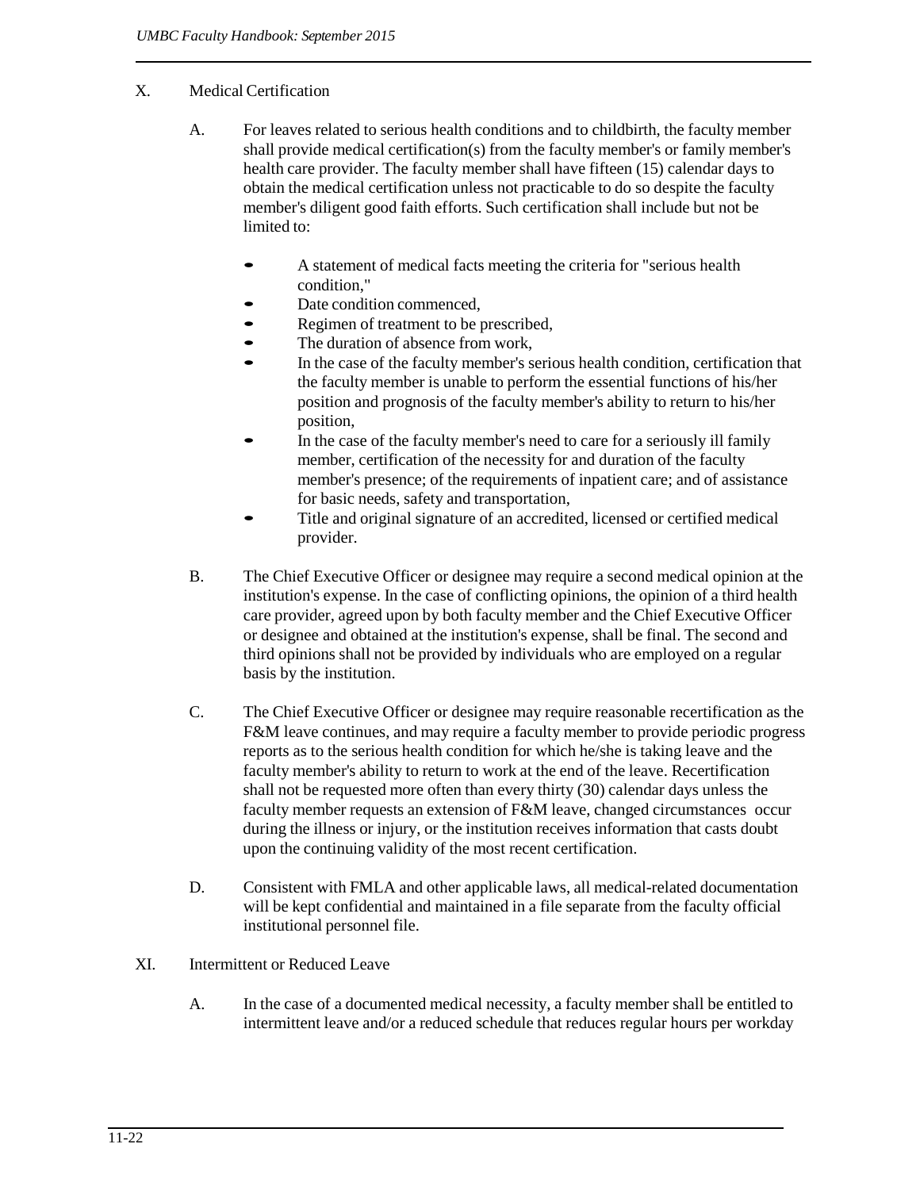## X. Medical Certification

- A. For leaves related to serious health conditions and to childbirth, the faculty member shall provide medical certification(s) from the faculty member's or family member's health care provider. The faculty member shall have fifteen (15) calendar days to obtain the medical certification unless not practicable to do so despite the faculty member's diligent good faith efforts. Such certification shall include but not be limited to:
	- A statement of medical facts meeting the criteria for "serious health" condition,"
	- Date condition commenced,
	- Regimen of treatment to be prescribed,
	- The duration of absence from work,
	- In the case of the faculty member's serious health condition, certification that the faculty member is unable to perform the essential functions of his/her position and prognosis of the faculty member's ability to return to his/her position,
	- In the case of the faculty member's need to care for a seriously ill family member, certification of the necessity for and duration of the faculty member's presence; of the requirements of inpatient care; and of assistance for basic needs, safety and transportation,
	- Title and original signature of an accredited, licensed or certified medical provider.
- B. The Chief Executive Officer or designee may require a second medical opinion at the institution's expense. In the case of conflicting opinions, the opinion of a third health care provider, agreed upon by both faculty member and the Chief Executive Officer or designee and obtained at the institution's expense, shall be final. The second and third opinions shall not be provided by individuals who are employed on a regular basis by the institution.
- C. The Chief Executive Officer or designee may require reasonable recertification as the F&M leave continues, and may require a faculty member to provide periodic progress reports as to the serious health condition for which he/she is taking leave and the faculty member's ability to return to work at the end of the leave. Recertification shall not be requested more often than every thirty (30) calendar days unless the faculty member requests an extension of F&M leave, changed circumstances occur during the illness or injury, or the institution receives information that casts doubt upon the continuing validity of the most recent certification.
- D. Consistent with FMLA and other applicable laws, all medical-related documentation will be kept confidential and maintained in a file separate from the faculty official institutional personnel file.

#### XI. Intermittent or Reduced Leave

A. In the case of a documented medical necessity, a faculty member shall be entitled to intermittent leave and/or a reduced schedule that reduces regular hours per workday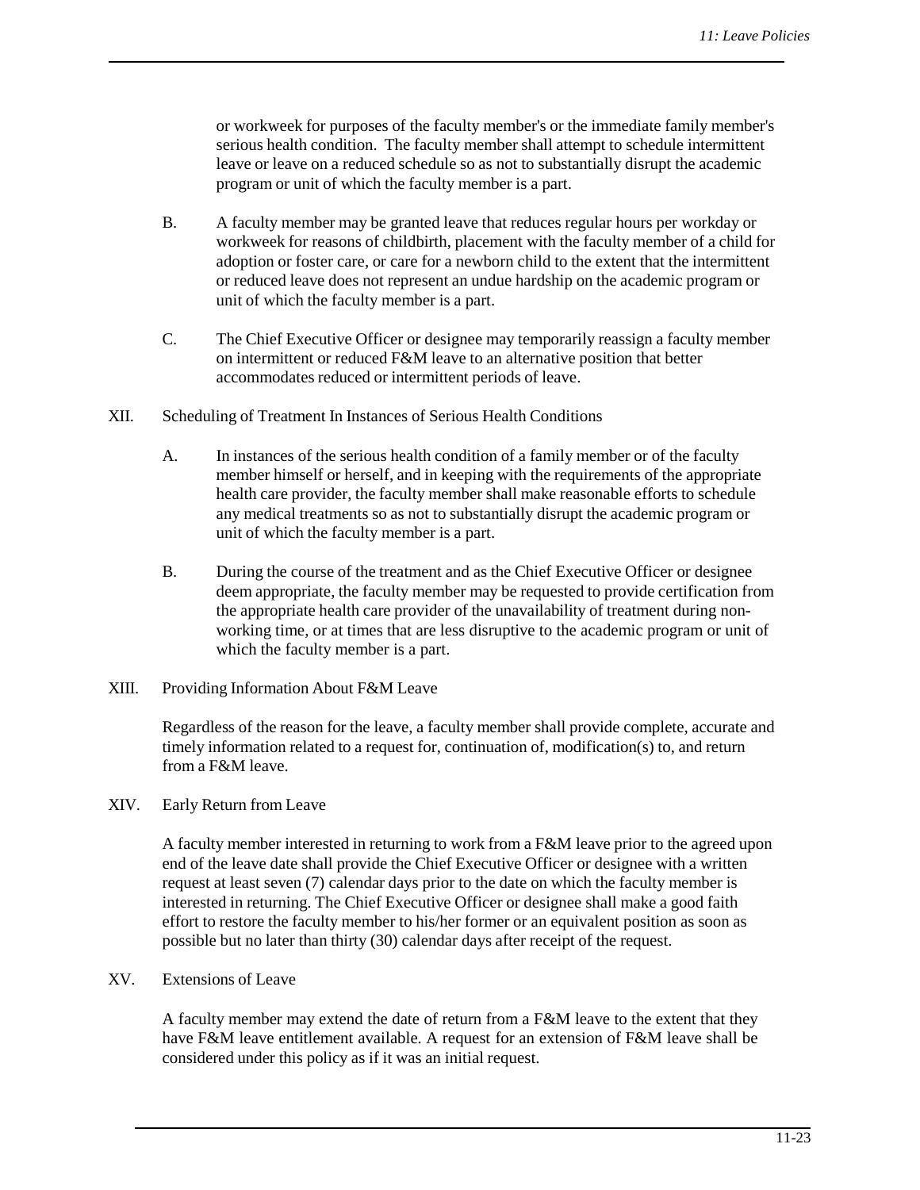or workweek for purposes of the faculty member's or the immediate family member's serious health condition. The faculty member shall attempt to schedule intermittent leave or leave on a reduced schedule so as not to substantially disrupt the academic program or unit of which the faculty member is a part.

- B. A faculty member may be granted leave that reduces regular hours per workday or workweek for reasons of childbirth, placement with the faculty member of a child for adoption or foster care, or care for a newborn child to the extent that the intermittent or reduced leave does not represent an undue hardship on the academic program or unit of which the faculty member is a part.
- C. The Chief Executive Officer or designee may temporarily reassign a faculty member on intermittent or reduced F&M leave to an alternative position that better accommodates reduced or intermittent periods of leave.
- XII. Scheduling of Treatment In Instances of Serious Health Conditions
	- A. In instances of the serious health condition of a family member or of the faculty member himself or herself, and in keeping with the requirements of the appropriate health care provider, the faculty member shall make reasonable efforts to schedule any medical treatments so as not to substantially disrupt the academic program or unit of which the faculty member is a part.
	- B. During the course of the treatment and as the Chief Executive Officer or designee deem appropriate, the faculty member may be requested to provide certification from the appropriate health care provider of the unavailability of treatment during nonworking time, or at times that are less disruptive to the academic program or unit of which the faculty member is a part.
- XIII. Providing Information About F&M Leave

Regardless of the reason for the leave, a faculty member shall provide complete, accurate and timely information related to a request for, continuation of, modification(s) to, and return from a F&M leave.

XIV. Early Return from Leave

A faculty member interested in returning to work from a F&M leave prior to the agreed upon end of the leave date shall provide the Chief Executive Officer or designee with a written request at least seven (7) calendar days prior to the date on which the faculty member is interested in returning. The Chief Executive Officer or designee shall make a good faith effort to restore the faculty member to his/her former or an equivalent position as soon as possible but no later than thirty (30) calendar days after receipt of the request.

XV. Extensions of Leave

A faculty member may extend the date of return from a F&M leave to the extent that they have F&M leave entitlement available. A request for an extension of F&M leave shall be considered under this policy as if it was an initial request.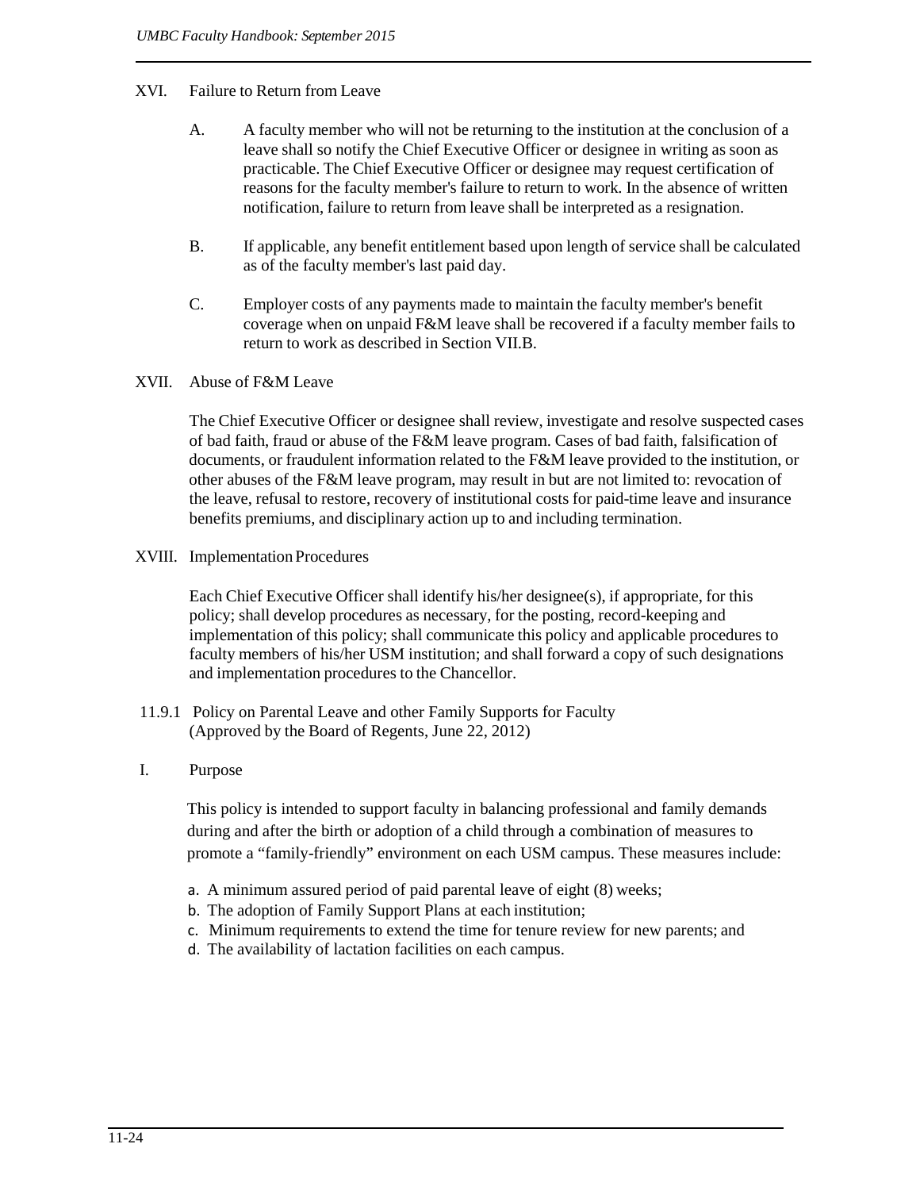### XVI. Failure to Return from Leave

- A. A faculty member who will not be returning to the institution at the conclusion of a leave shall so notify the Chief Executive Officer or designee in writing as soon as practicable. The Chief Executive Officer or designee may request certification of reasons for the faculty member's failure to return to work. In the absence of written notification, failure to return from leave shall be interpreted as a resignation.
- B. If applicable, any benefit entitlement based upon length of service shall be calculated as of the faculty member's last paid day.
- C. Employer costs of any payments made to maintain the faculty member's benefit coverage when on unpaid F&M leave shall be recovered if a faculty member fails to return to work as described in Section VII.B.
- XVII. Abuse of F&M Leave

The Chief Executive Officer or designee shall review, investigate and resolve suspected cases of bad faith, fraud or abuse of the F&M leave program. Cases of bad faith, falsification of documents, or fraudulent information related to the F&M leave provided to the institution, or other abuses of the F&M leave program, may result in but are not limited to: revocation of the leave, refusal to restore, recovery of institutional costs for paid-time leave and insurance benefits premiums, and disciplinary action up to and including termination.

XVIII. Implementation Procedures

Each Chief Executive Officer shall identify his/her designee(s), if appropriate, for this policy; shall develop procedures as necessary, for the posting, record-keeping and implementation of this policy; shall communicate this policy and applicable procedures to faculty members of his/her USM institution; and shall forward a copy of such designations and implementation procedures to the Chancellor.

- 11.9.1 Policy on Parental Leave and other Family Supports for Faculty (Approved by the Board of Regents, June 22, 2012)
- I. Purpose

This policy is intended to support faculty in balancing professional and family demands during and after the birth or adoption of a child through a combination of measures to promote a "family-friendly" environment on each USM campus. These measures include:

- a. A minimum assured period of paid parental leave of eight (8) weeks;
- b. The adoption of Family Support Plans at each institution;
- c. Minimum requirements to extend the time for tenure review for new parents; and
- d. The availability of lactation facilities on each campus.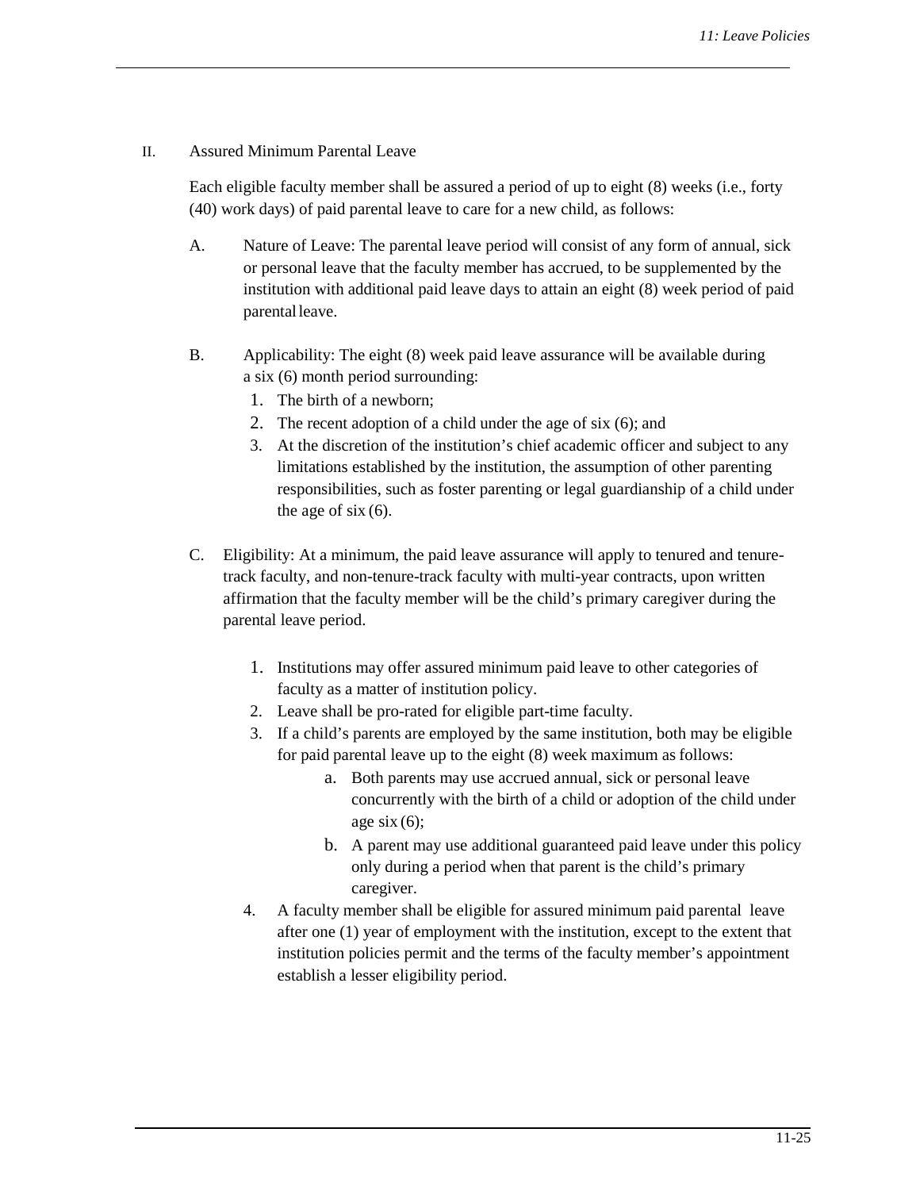#### II. Assured Minimum Parental Leave

Each eligible faculty member shall be assured a period of up to eight (8) weeks (i.e., forty (40) work days) of paid parental leave to care for a new child, as follows:

- A. Nature of Leave: The parental leave period will consist of any form of annual, sick or personal leave that the faculty member has accrued, to be supplemented by the institution with additional paid leave days to attain an eight (8) week period of paid parental leave.
- B. Applicability: The eight (8) week paid leave assurance will be available during a six (6) month period surrounding:
	- 1. The birth of a newborn;
	- 2. The recent adoption of a child under the age of six (6); and
	- 3. At the discretion of the institution's chief academic officer and subject to any limitations established by the institution, the assumption of other parenting responsibilities, such as foster parenting or legal guardianship of a child under the age of  $s$ ix  $(6)$ .
- C. Eligibility: At a minimum, the paid leave assurance will apply to tenured and tenuretrack faculty, and non-tenure-track faculty with multi-year contracts, upon written affirmation that the faculty member will be the child's primary caregiver during the parental leave period.
	- 1. Institutions may offer assured minimum paid leave to other categories of faculty as a matter of institution policy.
	- 2. Leave shall be pro-rated for eligible part-time faculty.
	- 3. If a child's parents are employed by the same institution, both may be eligible for paid parental leave up to the eight (8) week maximum as follows:
		- a. Both parents may use accrued annual, sick or personal leave concurrently with the birth of a child or adoption of the child under age six  $(6)$ ;
		- b. A parent may use additional guaranteed paid leave under this policy only during a period when that parent is the child's primary caregiver.
	- 4. A faculty member shall be eligible for assured minimum paid parental leave after one (1) year of employment with the institution, except to the extent that institution policies permit and the terms of the faculty member's appointment establish a lesser eligibility period.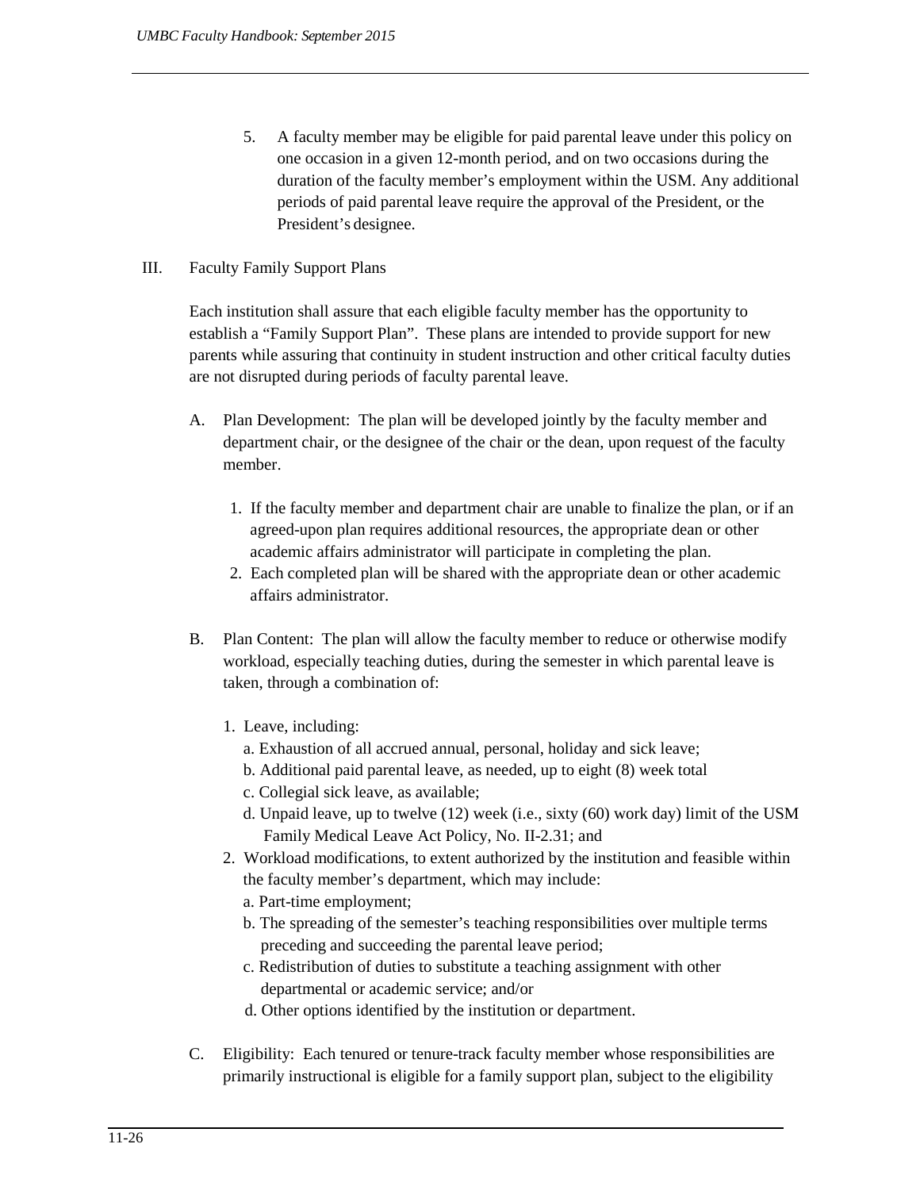5. A faculty member may be eligible for paid parental leave under this policy on one occasion in a given 12-month period, and on two occasions during the duration of the faculty member's employment within the USM. Any additional periods of paid parental leave require the approval of the President, or the President's designee.

# III. Faculty Family Support Plans

Each institution shall assure that each eligible faculty member has the opportunity to establish a "Family Support Plan". These plans are intended to provide support for new parents while assuring that continuity in student instruction and other critical faculty duties are not disrupted during periods of faculty parental leave.

- A. Plan Development: The plan will be developed jointly by the faculty member and department chair, or the designee of the chair or the dean, upon request of the faculty member.
	- 1. If the faculty member and department chair are unable to finalize the plan, or if an agreed-upon plan requires additional resources, the appropriate dean or other academic affairs administrator will participate in completing the plan.
	- 2. Each completed plan will be shared with the appropriate dean or other academic affairs administrator.
- B. Plan Content:The plan will allow the faculty member to reduce or otherwise modify workload, especially teaching duties, during the semester in which parental leave is taken, through a combination of:
	- 1. Leave, including:
		- a. Exhaustion of all accrued annual, personal, holiday and sick leave;
		- b. Additional paid parental leave, as needed, up to eight (8) week total
		- c. Collegial sick leave, as available;
		- d. Unpaid leave, up to twelve (12) week (i.e., sixty (60) work day) limit of the USM Family Medical Leave Act Policy, No. II-2.31; and
	- 2. Workload modifications, to extent authorized by the institution and feasible within the faculty member's department, which may include:
		- a. Part-time employment;
		- b. The spreading of the semester's teaching responsibilities over multiple terms preceding and succeeding the parental leave period;
		- c. Redistribution of duties to substitute a teaching assignment with other departmental or academic service; and/or
		- d. Other options identified by the institution or department.
- C. Eligibility: Each tenured or tenure-track faculty member whose responsibilities are primarily instructional is eligible for a family support plan, subject to the eligibility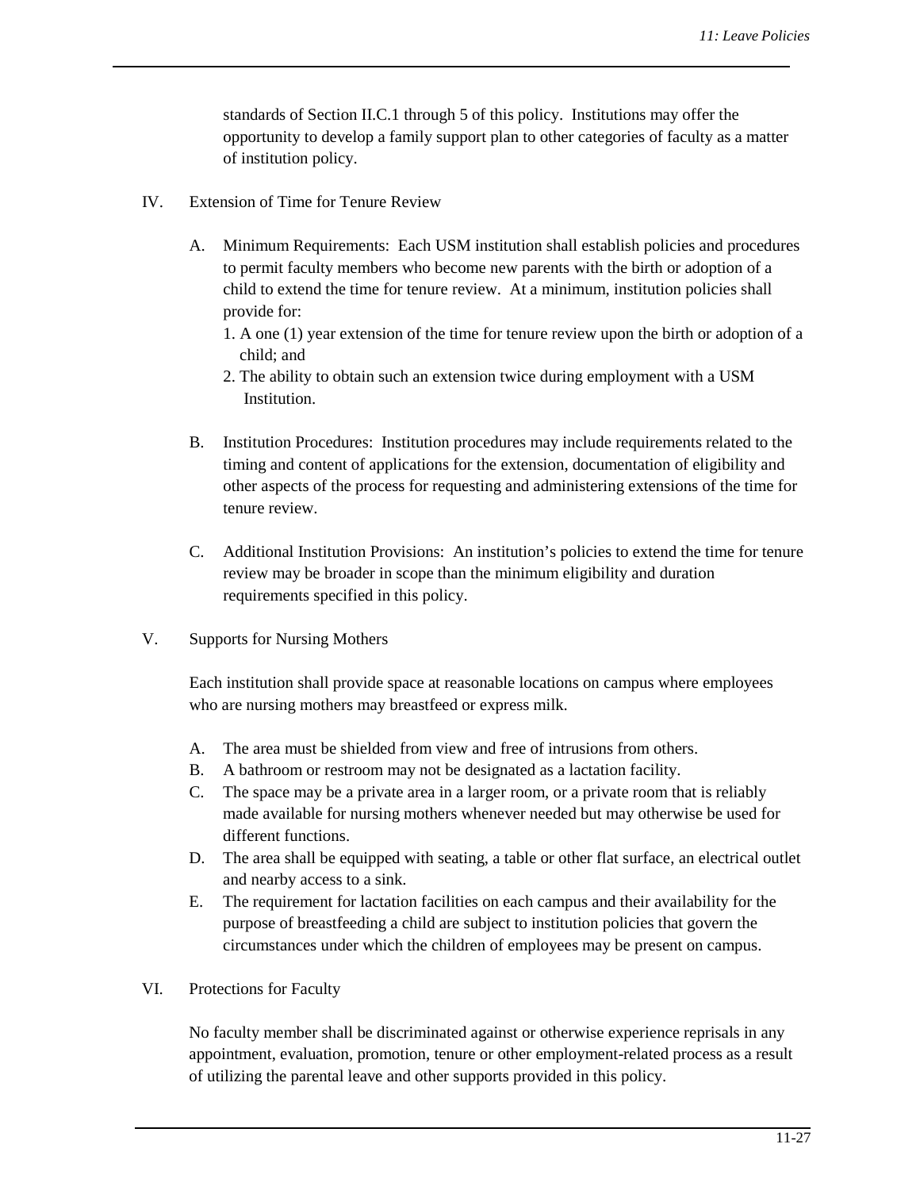standards of Section II.C.1 through 5 of this policy. Institutions may offer the opportunity to develop a family support plan to other categories of faculty as a matter of institution policy.

- IV. Extension of Time for Tenure Review
	- A. Minimum Requirements: Each USM institution shall establish policies and procedures to permit faculty members who become new parents with the birth or adoption of a child to extend the time for tenure review. At a minimum, institution policies shall provide for:
		- 1. A one (1) year extension of the time for tenure review upon the birth or adoption of a child; and
		- 2. The ability to obtain such an extension twice during employment with a USM Institution.
	- B. Institution Procedures: Institution procedures may include requirements related to the timing and content of applications for the extension, documentation of eligibility and other aspects of the process for requesting and administering extensions of the time for tenure review.
	- C. Additional Institution Provisions:An institution's policies to extend the time for tenure review may be broader in scope than the minimum eligibility and duration requirements specified in this policy.
- V. Supports for Nursing Mothers

Each institution shall provide space at reasonable locations on campus where employees who are nursing mothers may breastfeed or express milk.

- A. The area must be shielded from view and free of intrusions from others.
- B. A bathroom or restroom may not be designated as a lactation facility.
- C. The space may be a private area in a larger room, or a private room that is reliably made available for nursing mothers whenever needed but may otherwise be used for different functions.
- D. The area shall be equipped with seating, a table or other flat surface, an electrical outlet and nearby access to a sink.
- E. The requirement for lactation facilities on each campus and their availability for the purpose of breastfeeding a child are subject to institution policies that govern the circumstances under which the children of employees may be present on campus.
- VI. Protections for Faculty

No faculty member shall be discriminated against or otherwise experience reprisals in any appointment, evaluation, promotion, tenure or other employment-related process as a result of utilizing the parental leave and other supports provided in this policy.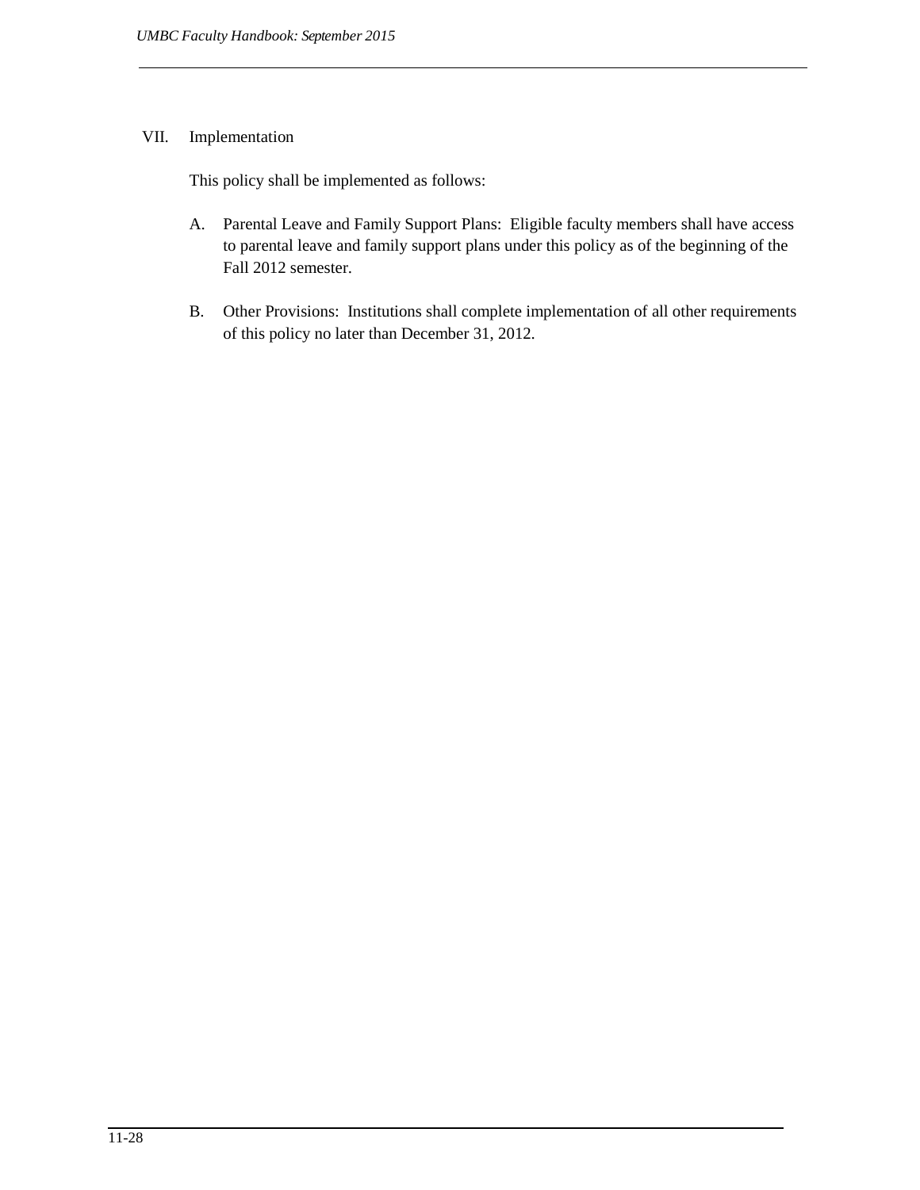## VII. Implementation

This policy shall be implemented as follows:

- A. Parental Leave and Family Support Plans: Eligible faculty members shall have access to parental leave and family support plans under this policy as of the beginning of the Fall 2012 semester.
- B. Other Provisions: Institutions shall complete implementation of all other requirements of this policy no later than December 31, 2012.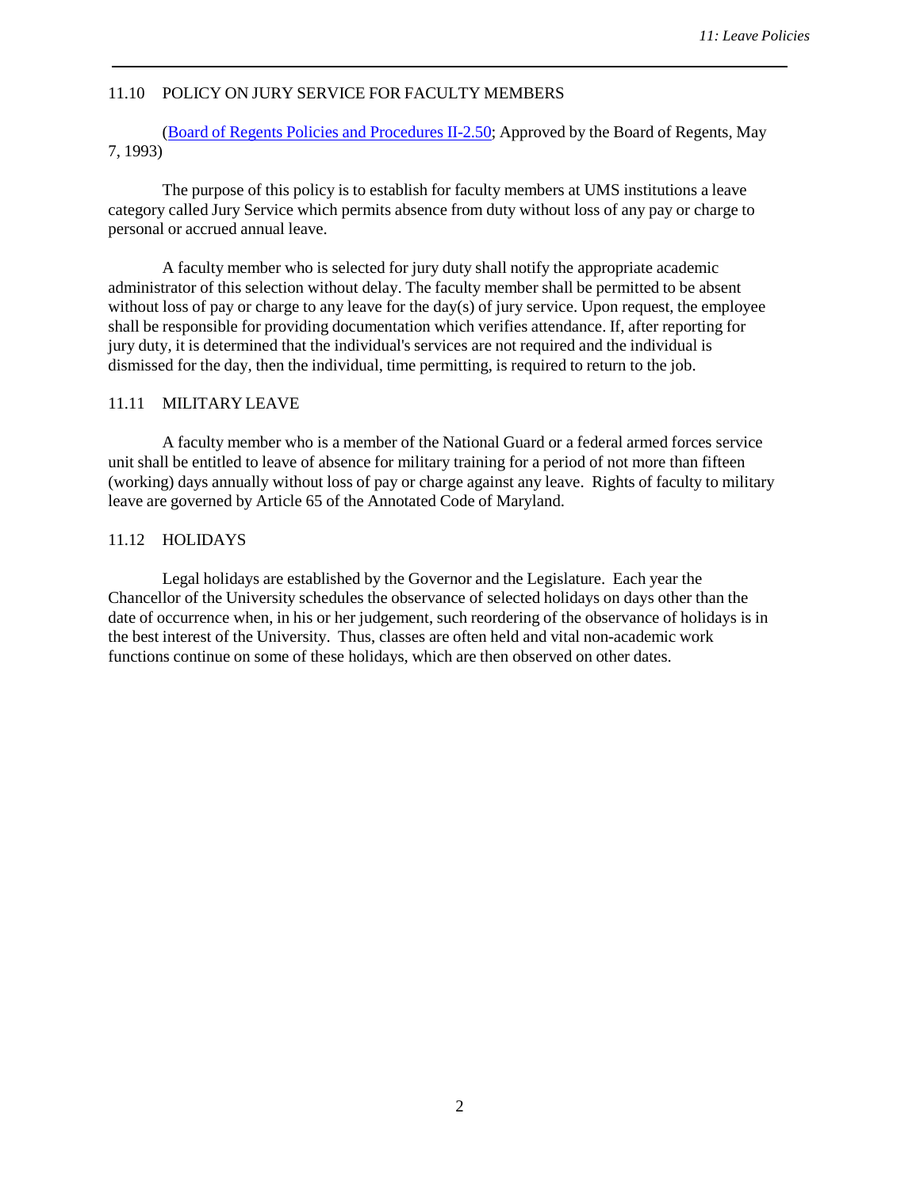#### 11.10 POLICY ON JURY SERVICE FOR FACULTY MEMBERS

(Board of Regents Policies and [Procedures](http://www.usmd.edu/regents/bylaws/SectionII/II250.html) II-2.50; Approved by the Board of Regents, May 7, 1993)

The purpose of this policy is to establish for faculty members at UMS institutions a leave category called Jury Service which permits absence from duty without loss of any pay or charge to personal or accrued annual leave.

<span id="page-28-2"></span>A faculty member who is selected for jury duty shall notify the appropriate academic administrator of this selection without delay. The faculty member shall be permitted to be absent without loss of pay or charge to any leave for the day(s) of jury service. Upon request, the employee shall be responsible for providing documentation which verifies attendance. If, after reporting for jury duty, it is determined that the individual's services are not required and the individual is dismissed for the day, then the individual, time permitting, is required to return to the job.

#### 11.11 MILITARY LEAVE

A faculty member who is a member of the National Guard or a federal armed forces service unit shall be entitled to leave of absence for military training for a period of not more than fifteen (working) days annually without loss of pay or charge against any leave. Rights of faculty to military leave are governed by Article 65 of the Annotated Code of Maryland.

#### <span id="page-28-1"></span>11.12 HOLIDAYS

<span id="page-28-0"></span>Legal holidays are established by the Governor and the Legislature. Each year the Chancellor of the University schedules the observance of selected holidays on days other than the date of occurrence when, in his or her judgement, such reordering of the observance of holidays is in the best interest of the University. Thus, classes are often held and vital non-academic work functions continue on some of these holidays, which are then observed on other dates.